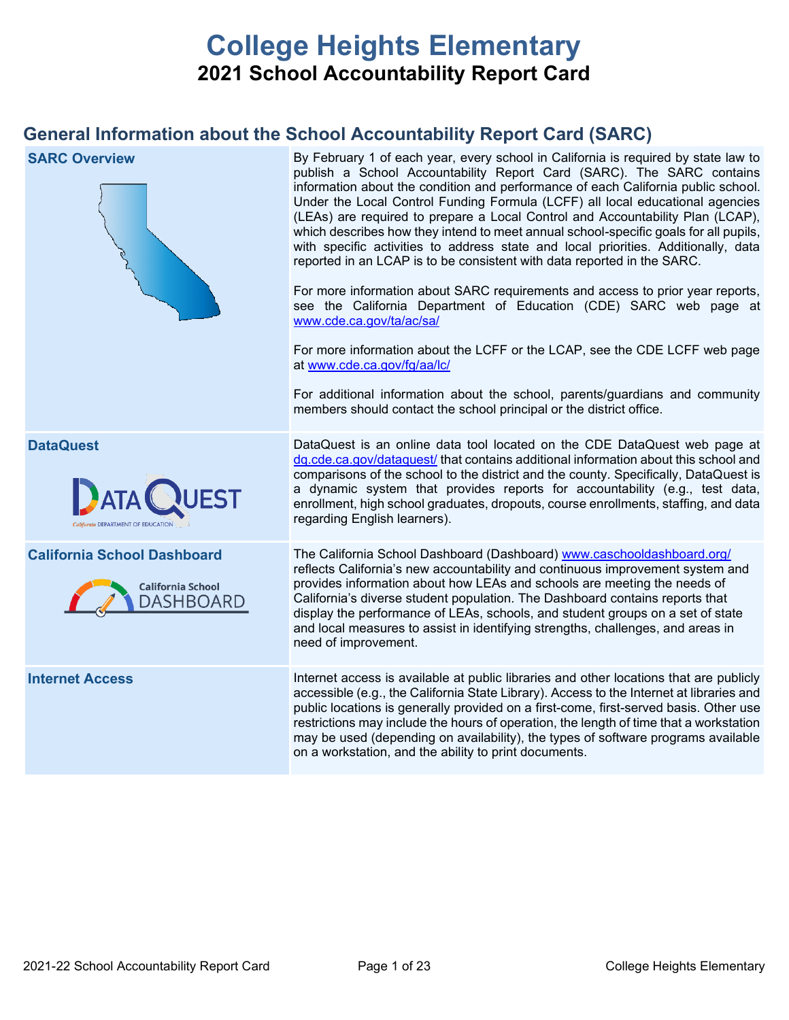# **College Heights Elementary 2021 School Accountability Report Card**

## **General Information about the School Accountability Report Card (SARC)**

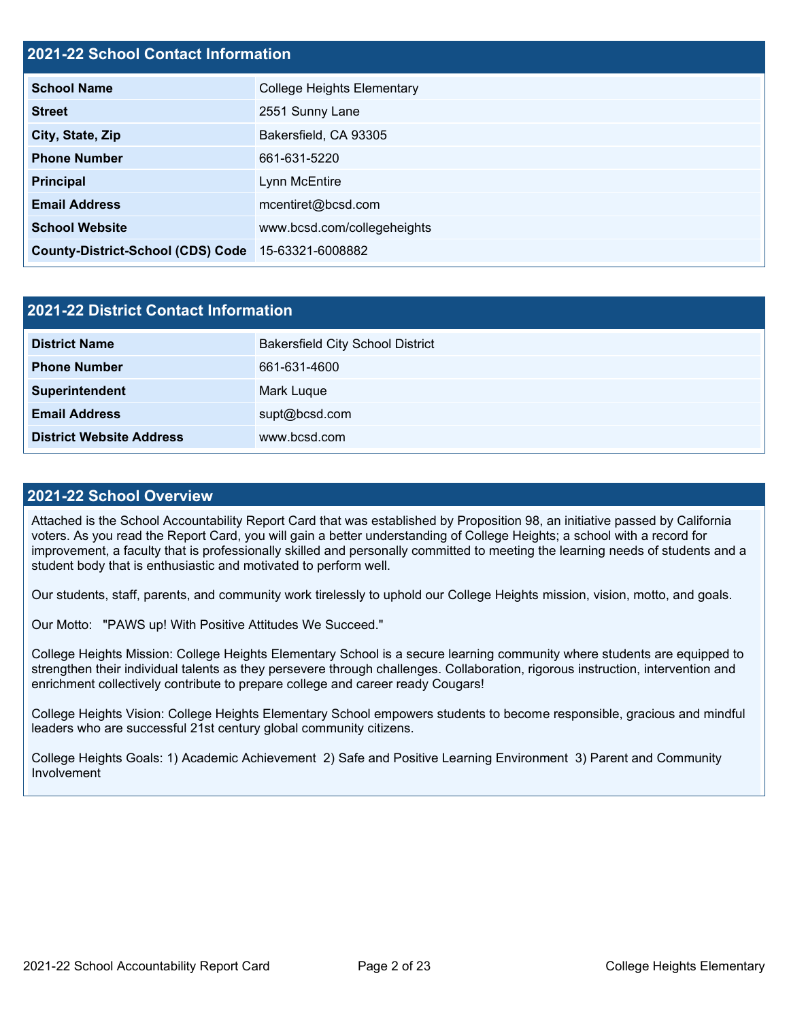## **2021-22 School Contact Information**

| <b>School Name</b>                       | <b>College Heights Elementary</b> |  |  |  |
|------------------------------------------|-----------------------------------|--|--|--|
| <b>Street</b>                            | 2551 Sunny Lane                   |  |  |  |
| City, State, Zip                         | Bakersfield, CA 93305             |  |  |  |
| <b>Phone Number</b>                      | 661-631-5220                      |  |  |  |
| <b>Principal</b>                         | Lynn McEntire                     |  |  |  |
| <b>Email Address</b>                     | mcentiret@bcsd.com                |  |  |  |
| <b>School Website</b>                    | www.bcsd.com/collegeheights       |  |  |  |
| <b>County-District-School (CDS) Code</b> | 15-63321-6008882                  |  |  |  |

| 2021-22 District Contact Information |                                         |  |  |  |  |
|--------------------------------------|-----------------------------------------|--|--|--|--|
| <b>District Name</b>                 | <b>Bakersfield City School District</b> |  |  |  |  |
| <b>Phone Number</b>                  | 661-631-4600                            |  |  |  |  |
| Superintendent                       | Mark Luque                              |  |  |  |  |
| <b>Email Address</b>                 | supt@bcsd.com                           |  |  |  |  |
| <b>District Website Address</b>      | www.bcsd.com                            |  |  |  |  |

#### **2021-22 School Overview**

Attached is the School Accountability Report Card that was established by Proposition 98, an initiative passed by California voters. As you read the Report Card, you will gain a better understanding of College Heights; a school with a record for improvement, a faculty that is professionally skilled and personally committed to meeting the learning needs of students and a student body that is enthusiastic and motivated to perform well.

Our students, staff, parents, and community work tirelessly to uphold our College Heights mission, vision, motto, and goals.

Our Motto: "PAWS up! With Positive Attitudes We Succeed."

College Heights Mission: College Heights Elementary School is a secure learning community where students are equipped to strengthen their individual talents as they persevere through challenges. Collaboration, rigorous instruction, intervention and enrichment collectively contribute to prepare college and career ready Cougars!

College Heights Vision: College Heights Elementary School empowers students to become responsible, gracious and mindful leaders who are successful 21st century global community citizens.

College Heights Goals: 1) Academic Achievement 2) Safe and Positive Learning Environment 3) Parent and Community Involvement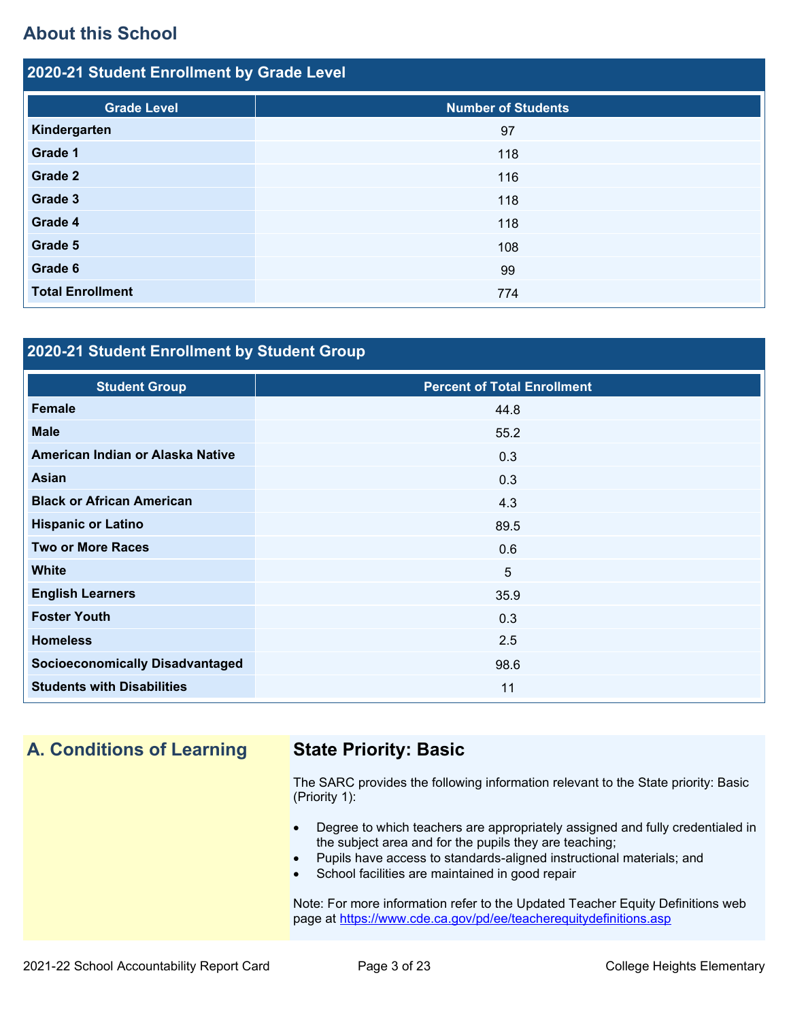## **About this School**

| 2020-21 Student Enrollment by Grade Level |                           |  |  |  |  |
|-------------------------------------------|---------------------------|--|--|--|--|
| <b>Grade Level</b>                        | <b>Number of Students</b> |  |  |  |  |
| Kindergarten                              | 97                        |  |  |  |  |
| Grade 1                                   | 118                       |  |  |  |  |
| <b>Grade 2</b>                            | 116                       |  |  |  |  |
| Grade 3                                   | 118                       |  |  |  |  |
| Grade 4                                   | 118                       |  |  |  |  |
| Grade 5                                   | 108                       |  |  |  |  |
| Grade 6                                   | 99                        |  |  |  |  |
| <b>Total Enrollment</b>                   | 774                       |  |  |  |  |

## **2020-21 Student Enrollment by Student Group**

| <b>Student Group</b>                   | <b>Percent of Total Enrollment</b> |
|----------------------------------------|------------------------------------|
| <b>Female</b>                          | 44.8                               |
| <b>Male</b>                            | 55.2                               |
| American Indian or Alaska Native       | 0.3                                |
| <b>Asian</b>                           | 0.3                                |
| <b>Black or African American</b>       | 4.3                                |
| <b>Hispanic or Latino</b>              | 89.5                               |
| <b>Two or More Races</b>               | 0.6                                |
| <b>White</b>                           | 5                                  |
| <b>English Learners</b>                | 35.9                               |
| <b>Foster Youth</b>                    | 0.3                                |
| <b>Homeless</b>                        | 2.5                                |
| <b>Socioeconomically Disadvantaged</b> | 98.6                               |
| <b>Students with Disabilities</b>      | 11                                 |

## **A. Conditions of Learning State Priority: Basic**

The SARC provides the following information relevant to the State priority: Basic (Priority 1):

- Degree to which teachers are appropriately assigned and fully credentialed in the subject area and for the pupils they are teaching;
- Pupils have access to standards-aligned instructional materials; and
- School facilities are maintained in good repair

Note: For more information refer to the Updated Teacher Equity Definitions web page at<https://www.cde.ca.gov/pd/ee/teacherequitydefinitions.asp>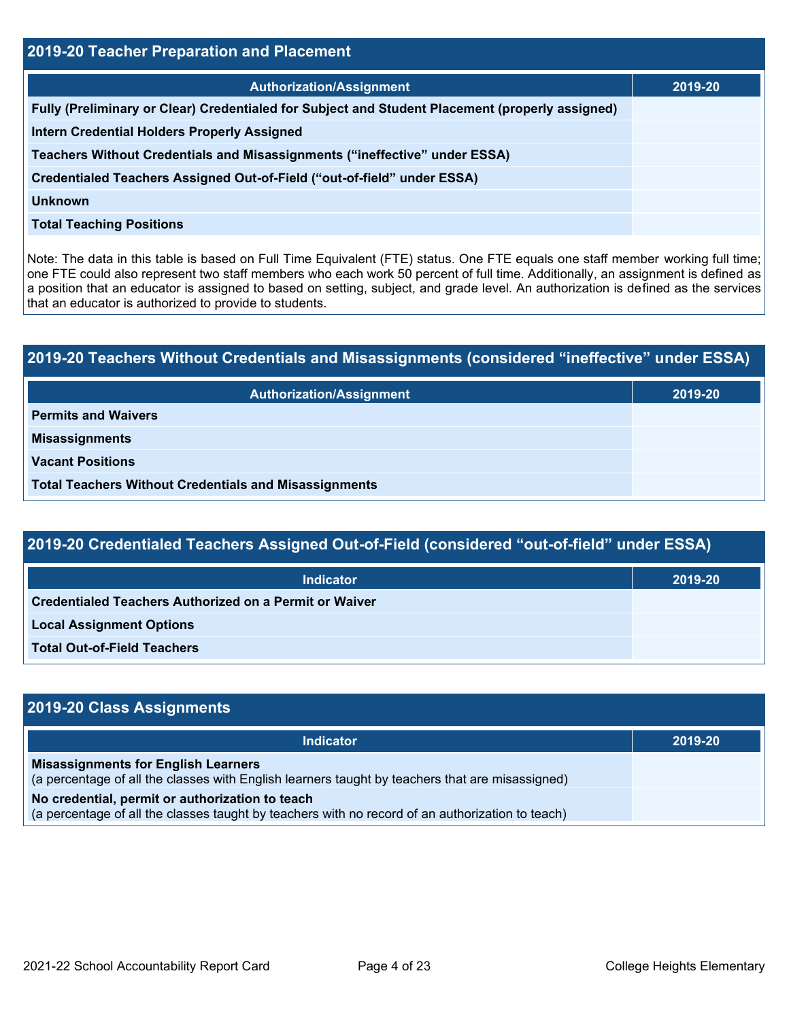| 2019-20 Teacher Preparation and Placement                                                       |         |  |  |  |
|-------------------------------------------------------------------------------------------------|---------|--|--|--|
| <b>Authorization/Assignment</b>                                                                 | 2019-20 |  |  |  |
| Fully (Preliminary or Clear) Credentialed for Subject and Student Placement (properly assigned) |         |  |  |  |
| <b>Intern Credential Holders Properly Assigned</b>                                              |         |  |  |  |
| Teachers Without Credentials and Misassignments ("ineffective" under ESSA)                      |         |  |  |  |
| Credentialed Teachers Assigned Out-of-Field ("out-of-field" under ESSA)                         |         |  |  |  |
| <b>Unknown</b>                                                                                  |         |  |  |  |
| <b>Total Teaching Positions</b>                                                                 |         |  |  |  |

Note: The data in this table is based on Full Time Equivalent (FTE) status. One FTE equals one staff member working full time; one FTE could also represent two staff members who each work 50 percent of full time. Additionally, an assignment is defined as a position that an educator is assigned to based on setting, subject, and grade level. An authorization is defined as the services that an educator is authorized to provide to students.

# **2019-20 Teachers Without Credentials and Misassignments (considered "ineffective" under ESSA) Authorization/Assignment 2019-20 Permits and Waivers Misassignments Vacant Positions Total Teachers Without Credentials and Misassignments**

| 2019-20 Credentialed Teachers Assigned Out-of-Field (considered "out-of-field" under ESSA) |         |  |  |  |
|--------------------------------------------------------------------------------------------|---------|--|--|--|
| Indicator                                                                                  | 2019-20 |  |  |  |
| <b>Credentialed Teachers Authorized on a Permit or Waiver</b>                              |         |  |  |  |
| <b>Local Assignment Options</b>                                                            |         |  |  |  |

**Total Out-of-Field Teachers**

| 2019-20 Class Assignments                                                                                                                           |         |  |  |  |  |
|-----------------------------------------------------------------------------------------------------------------------------------------------------|---------|--|--|--|--|
| <b>Indicator</b>                                                                                                                                    | 2019-20 |  |  |  |  |
| <b>Misassignments for English Learners</b><br>(a percentage of all the classes with English learners taught by teachers that are misassigned)       |         |  |  |  |  |
| No credential, permit or authorization to teach<br>(a percentage of all the classes taught by teachers with no record of an authorization to teach) |         |  |  |  |  |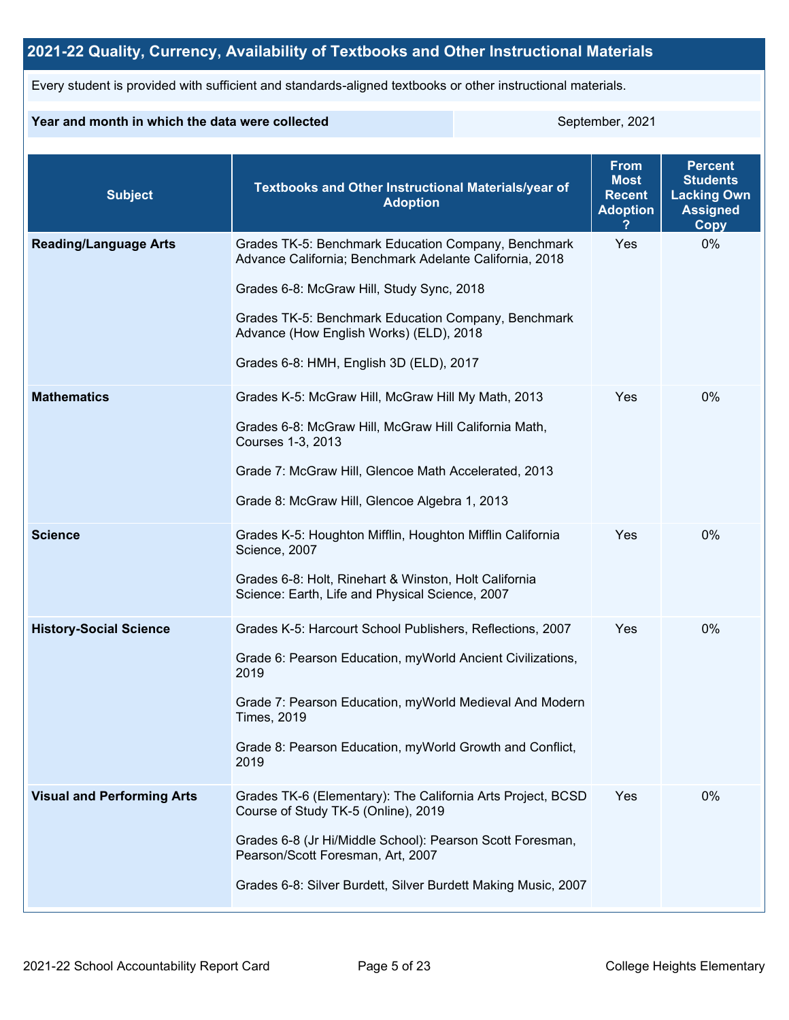## **2021-22 Quality, Currency, Availability of Textbooks and Other Instructional Materials**

Every student is provided with sufficient and standards-aligned textbooks or other instructional materials.

### **Year and month in which the data were collected** September, 2021

| <b>Subject</b>                    | Textbooks and Other Instructional Materials/year of<br><b>Adoption</b>                                                                                                                                                                                                                                   | <b>From</b><br><b>Most</b><br><b>Recent</b><br><b>Adoption</b> | <b>Percent</b><br><b>Students</b><br><b>Lacking Own</b><br><b>Assigned</b><br>Copy |
|-----------------------------------|----------------------------------------------------------------------------------------------------------------------------------------------------------------------------------------------------------------------------------------------------------------------------------------------------------|----------------------------------------------------------------|------------------------------------------------------------------------------------|
| <b>Reading/Language Arts</b>      | Grades TK-5: Benchmark Education Company, Benchmark<br>Advance California; Benchmark Adelante California, 2018<br>Grades 6-8: McGraw Hill, Study Sync, 2018<br>Grades TK-5: Benchmark Education Company, Benchmark<br>Advance (How English Works) (ELD), 2018<br>Grades 6-8: HMH, English 3D (ELD), 2017 | Yes                                                            | 0%                                                                                 |
| <b>Mathematics</b>                | Grades K-5: McGraw Hill, McGraw Hill My Math, 2013<br>Grades 6-8: McGraw Hill, McGraw Hill California Math,<br>Courses 1-3, 2013<br>Grade 7: McGraw Hill, Glencoe Math Accelerated, 2013<br>Grade 8: McGraw Hill, Glencoe Algebra 1, 2013                                                                | Yes                                                            | $0\%$                                                                              |
| <b>Science</b>                    | Grades K-5: Houghton Mifflin, Houghton Mifflin California<br>Science, 2007<br>Grades 6-8: Holt, Rinehart & Winston, Holt California<br>Science: Earth, Life and Physical Science, 2007                                                                                                                   | Yes                                                            | 0%                                                                                 |
| <b>History-Social Science</b>     | Grades K-5: Harcourt School Publishers, Reflections, 2007<br>Grade 6: Pearson Education, myWorld Ancient Civilizations,<br>2019<br>Grade 7: Pearson Education, myWorld Medieval And Modern<br><b>Times, 2019</b><br>Grade 8: Pearson Education, myWorld Growth and Conflict,<br>2019                     | Yes                                                            | 0%                                                                                 |
| <b>Visual and Performing Arts</b> | Grades TK-6 (Elementary): The California Arts Project, BCSD<br>Course of Study TK-5 (Online), 2019<br>Grades 6-8 (Jr Hi/Middle School): Pearson Scott Foresman,<br>Pearson/Scott Foresman, Art, 2007<br>Grades 6-8: Silver Burdett, Silver Burdett Making Music, 2007                                    | Yes                                                            | 0%                                                                                 |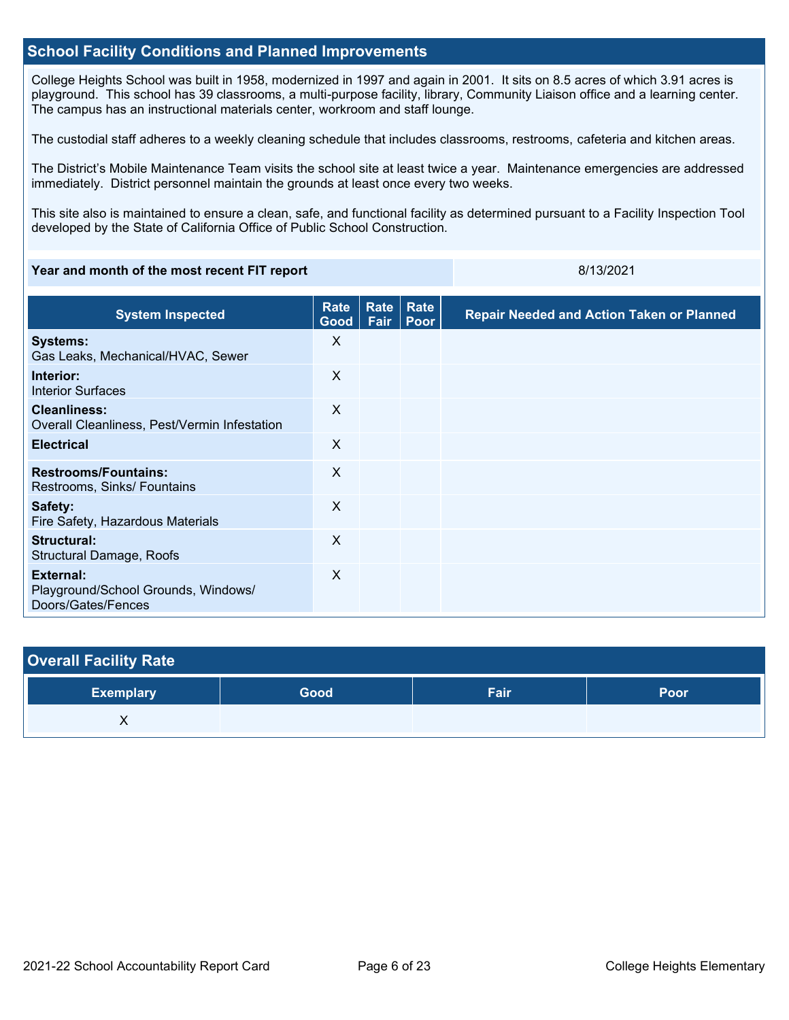### **School Facility Conditions and Planned Improvements**

College Heights School was built in 1958, modernized in 1997 and again in 2001. It sits on 8.5 acres of which 3.91 acres is playground. This school has 39 classrooms, a multi-purpose facility, library, Community Liaison office and a learning center. The campus has an instructional materials center, workroom and staff lounge.

The custodial staff adheres to a weekly cleaning schedule that includes classrooms, restrooms, cafeteria and kitchen areas.

The District's Mobile Maintenance Team visits the school site at least twice a year. Maintenance emergencies are addressed immediately. District personnel maintain the grounds at least once every two weeks.

This site also is maintained to ensure a clean, safe, and functional facility as determined pursuant to a Facility Inspection Tool developed by the State of California Office of Public School Construction.

#### **Year and month of the most recent FIT report** 8/13/2021

| <b>System Inspected</b>                                                       | Rate<br>Good $ $ | Rate<br>Fair | Rate<br>Poor | <b>Repair Needed and Action Taken or Planned</b> |
|-------------------------------------------------------------------------------|------------------|--------------|--------------|--------------------------------------------------|
| <b>Systems:</b><br>Gas Leaks, Mechanical/HVAC, Sewer                          | X                |              |              |                                                  |
| Interior:<br><b>Interior Surfaces</b>                                         | X                |              |              |                                                  |
| <b>Cleanliness:</b><br>Overall Cleanliness, Pest/Vermin Infestation           | X                |              |              |                                                  |
| <b>Electrical</b>                                                             | X                |              |              |                                                  |
| <b>Restrooms/Fountains:</b><br>Restrooms, Sinks/ Fountains                    | X                |              |              |                                                  |
| Safety:<br>Fire Safety, Hazardous Materials                                   | $\sf X$          |              |              |                                                  |
| Structural:<br>Structural Damage, Roofs                                       | X                |              |              |                                                  |
| <b>External:</b><br>Playground/School Grounds, Windows/<br>Doors/Gates/Fences | $\mathsf{X}$     |              |              |                                                  |

| <b>Overall Facility Rate</b> |      |      |             |
|------------------------------|------|------|-------------|
| <b>Exemplary</b>             | Good | Fair | <b>Poor</b> |
|                              |      |      |             |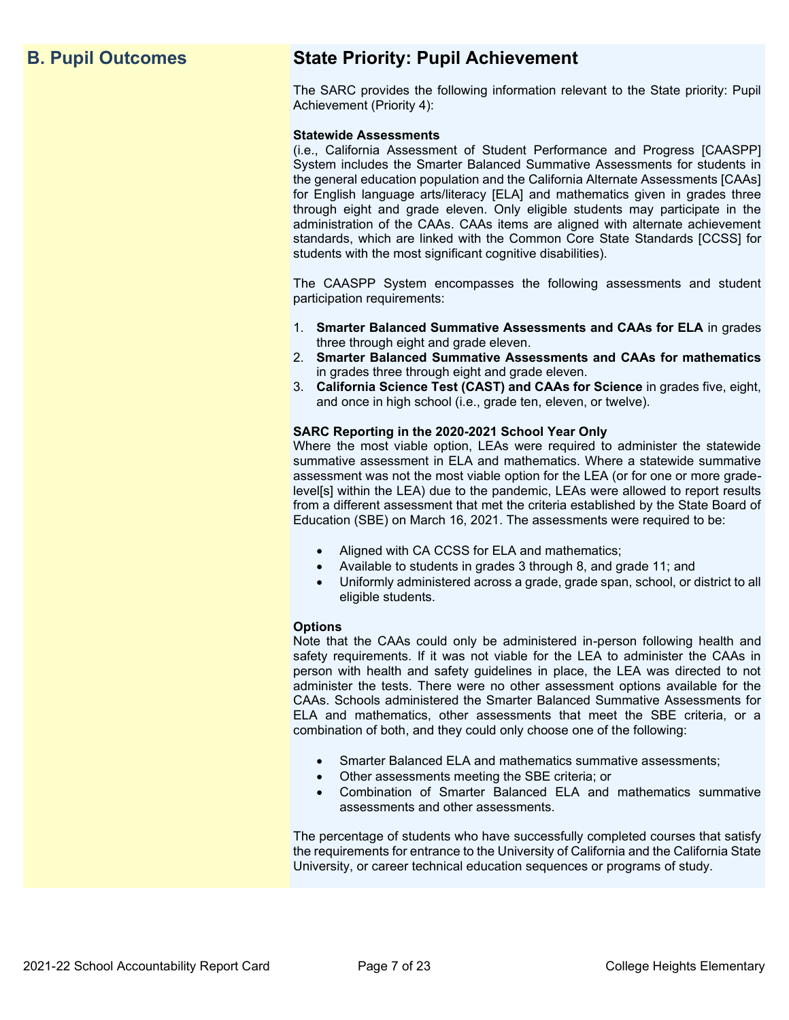## **B. Pupil Outcomes State Priority: Pupil Achievement**

The SARC provides the following information relevant to the State priority: Pupil Achievement (Priority 4):

#### **Statewide Assessments**

(i.e., California Assessment of Student Performance and Progress [CAASPP] System includes the Smarter Balanced Summative Assessments for students in the general education population and the California Alternate Assessments [CAAs] for English language arts/literacy [ELA] and mathematics given in grades three through eight and grade eleven. Only eligible students may participate in the administration of the CAAs. CAAs items are aligned with alternate achievement standards, which are linked with the Common Core State Standards [CCSS] for students with the most significant cognitive disabilities).

The CAASPP System encompasses the following assessments and student participation requirements:

- 1. **Smarter Balanced Summative Assessments and CAAs for ELA** in grades three through eight and grade eleven.
- 2. **Smarter Balanced Summative Assessments and CAAs for mathematics** in grades three through eight and grade eleven.
- 3. **California Science Test (CAST) and CAAs for Science** in grades five, eight, and once in high school (i.e., grade ten, eleven, or twelve).

#### **SARC Reporting in the 2020-2021 School Year Only**

Where the most viable option, LEAs were required to administer the statewide summative assessment in ELA and mathematics. Where a statewide summative assessment was not the most viable option for the LEA (or for one or more gradelevel[s] within the LEA) due to the pandemic, LEAs were allowed to report results from a different assessment that met the criteria established by the State Board of Education (SBE) on March 16, 2021. The assessments were required to be:

- Aligned with CA CCSS for ELA and mathematics;
- Available to students in grades 3 through 8, and grade 11; and
- Uniformly administered across a grade, grade span, school, or district to all eligible students.

#### **Options**

Note that the CAAs could only be administered in-person following health and safety requirements. If it was not viable for the LEA to administer the CAAs in person with health and safety guidelines in place, the LEA was directed to not administer the tests. There were no other assessment options available for the CAAs. Schools administered the Smarter Balanced Summative Assessments for ELA and mathematics, other assessments that meet the SBE criteria, or a combination of both, and they could only choose one of the following:

- Smarter Balanced ELA and mathematics summative assessments;
- Other assessments meeting the SBE criteria; or
- Combination of Smarter Balanced ELA and mathematics summative assessments and other assessments.

The percentage of students who have successfully completed courses that satisfy the requirements for entrance to the University of California and the California State University, or career technical education sequences or programs of study.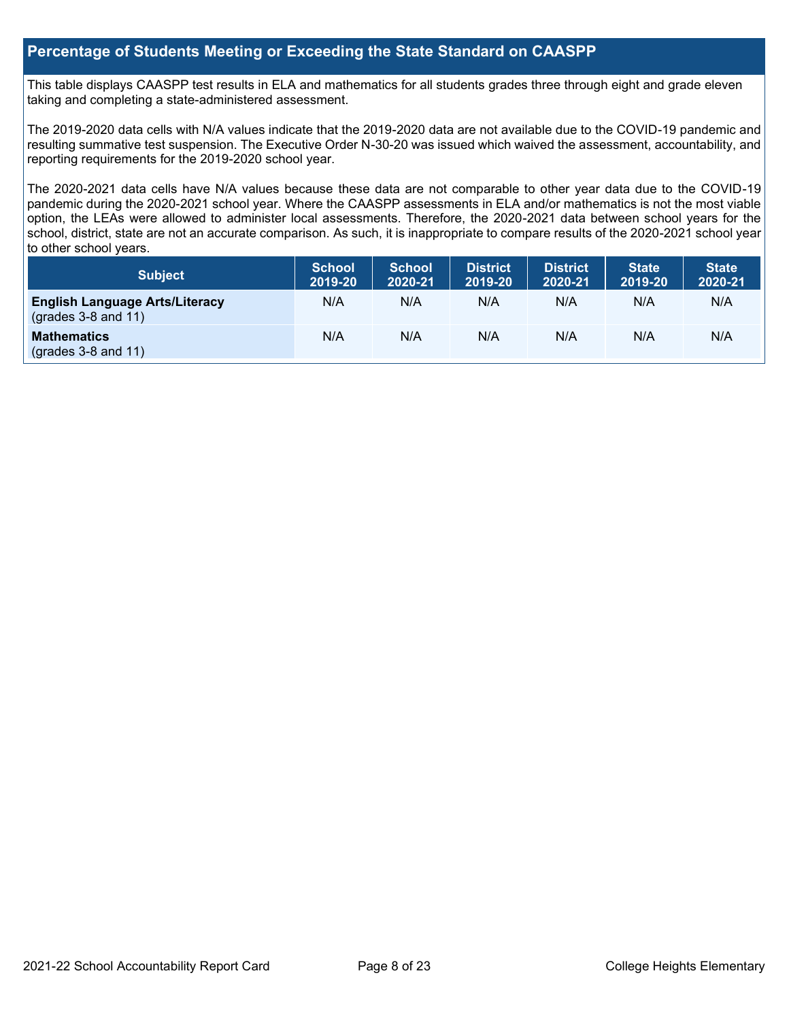## **Percentage of Students Meeting or Exceeding the State Standard on CAASPP**

This table displays CAASPP test results in ELA and mathematics for all students grades three through eight and grade eleven taking and completing a state-administered assessment.

The 2019-2020 data cells with N/A values indicate that the 2019-2020 data are not available due to the COVID-19 pandemic and resulting summative test suspension. The Executive Order N-30-20 was issued which waived the assessment, accountability, and reporting requirements for the 2019-2020 school year.

The 2020-2021 data cells have N/A values because these data are not comparable to other year data due to the COVID-19 pandemic during the 2020-2021 school year. Where the CAASPP assessments in ELA and/or mathematics is not the most viable option, the LEAs were allowed to administer local assessments. Therefore, the 2020-2021 data between school years for the school, district, state are not an accurate comparison. As such, it is inappropriate to compare results of the 2020-2021 school year to other school years.

| Subject                                                              | <b>School</b><br>2019-20 | <b>School</b><br>2020-21 | <b>District</b><br>2019-20 | <b>District</b><br>2020-21 | <b>State</b><br>2019-20 | <b>State</b><br>2020-21 |
|----------------------------------------------------------------------|--------------------------|--------------------------|----------------------------|----------------------------|-------------------------|-------------------------|
| <b>English Language Arts/Literacy</b><br>$\left($ grades 3-8 and 11) | N/A                      | N/A                      | N/A                        | N/A                        | N/A                     | N/A                     |
| <b>Mathematics</b><br>$(grades 3-8 and 11)$                          | N/A                      | N/A                      | N/A                        | N/A                        | N/A                     | N/A                     |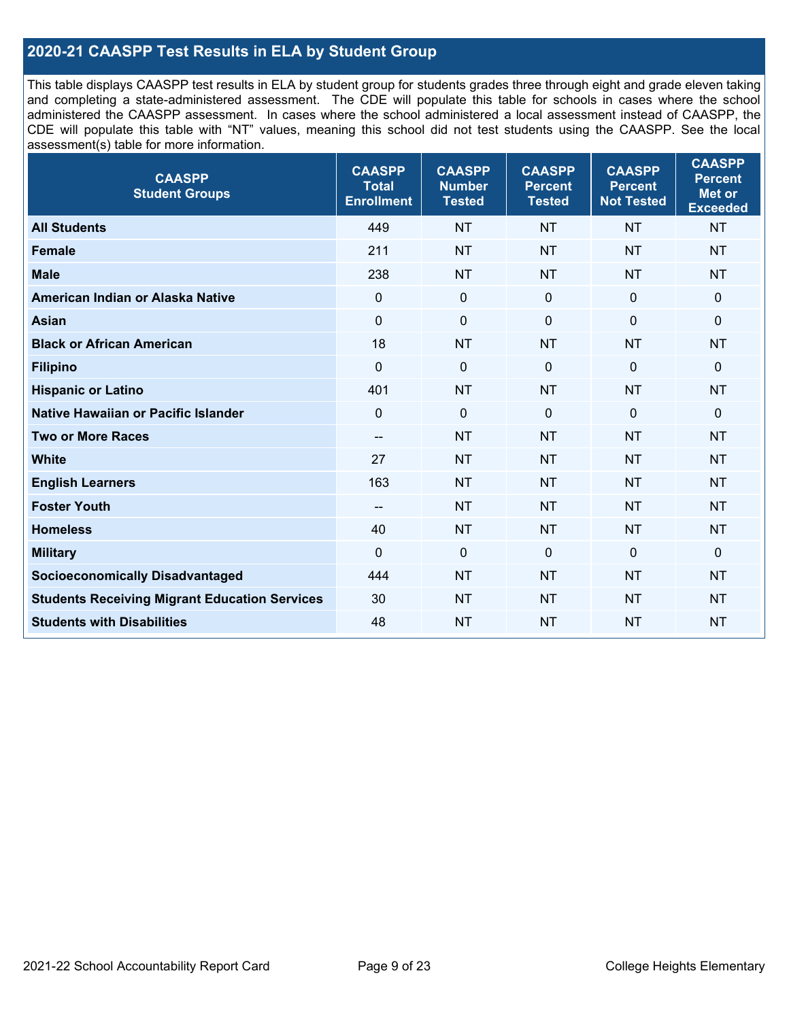## **2020-21 CAASPP Test Results in ELA by Student Group**

This table displays CAASPP test results in ELA by student group for students grades three through eight and grade eleven taking and completing a state-administered assessment. The CDE will populate this table for schools in cases where the school administered the CAASPP assessment. In cases where the school administered a local assessment instead of CAASPP, the CDE will populate this table with "NT" values, meaning this school did not test students using the CAASPP. See the local assessment(s) table for more information.

| <b>CAASPP</b><br><b>Student Groups</b>               | <b>CAASPP</b><br><b>Total</b><br><b>Enrollment</b> | <b>CAASPP</b><br><b>Number</b><br><b>Tested</b> | <b>CAASPP</b><br><b>Percent</b><br><b>Tested</b> | <b>CAASPP</b><br><b>Percent</b><br><b>Not Tested</b> | <b>CAASPP</b><br><b>Percent</b><br>Met or<br><b>Exceeded</b> |
|------------------------------------------------------|----------------------------------------------------|-------------------------------------------------|--------------------------------------------------|------------------------------------------------------|--------------------------------------------------------------|
| <b>All Students</b>                                  | 449                                                | <b>NT</b>                                       | <b>NT</b>                                        | <b>NT</b>                                            | <b>NT</b>                                                    |
| <b>Female</b>                                        | 211                                                | <b>NT</b>                                       | <b>NT</b>                                        | <b>NT</b>                                            | <b>NT</b>                                                    |
| <b>Male</b>                                          | 238                                                | <b>NT</b>                                       | <b>NT</b>                                        | <b>NT</b>                                            | <b>NT</b>                                                    |
| American Indian or Alaska Native                     | $\mathbf 0$                                        | $\mathbf 0$                                     | $\mathbf 0$                                      | $\mathbf 0$                                          | 0                                                            |
| <b>Asian</b>                                         | $\mathbf 0$                                        | $\pmb{0}$                                       | $\mathbf 0$                                      | $\mathbf 0$                                          | 0                                                            |
| <b>Black or African American</b>                     | 18                                                 | <b>NT</b>                                       | <b>NT</b>                                        | <b>NT</b>                                            | <b>NT</b>                                                    |
| <b>Filipino</b>                                      | $\mathbf 0$                                        | $\mathbf 0$                                     | $\Omega$                                         | $\Omega$                                             | 0                                                            |
| <b>Hispanic or Latino</b>                            | 401                                                | <b>NT</b>                                       | <b>NT</b>                                        | <b>NT</b>                                            | <b>NT</b>                                                    |
| <b>Native Hawaiian or Pacific Islander</b>           | $\mathbf 0$                                        | $\mathbf 0$                                     | $\mathbf 0$                                      | $\overline{0}$                                       | 0                                                            |
| <b>Two or More Races</b>                             | --                                                 | <b>NT</b>                                       | <b>NT</b>                                        | <b>NT</b>                                            | <b>NT</b>                                                    |
| <b>White</b>                                         | 27                                                 | <b>NT</b>                                       | <b>NT</b>                                        | <b>NT</b>                                            | <b>NT</b>                                                    |
| <b>English Learners</b>                              | 163                                                | <b>NT</b>                                       | <b>NT</b>                                        | <b>NT</b>                                            | <b>NT</b>                                                    |
| <b>Foster Youth</b>                                  | $-$                                                | <b>NT</b>                                       | <b>NT</b>                                        | <b>NT</b>                                            | <b>NT</b>                                                    |
| <b>Homeless</b>                                      | 40                                                 | <b>NT</b>                                       | <b>NT</b>                                        | <b>NT</b>                                            | <b>NT</b>                                                    |
| <b>Military</b>                                      | $\Omega$                                           | $\pmb{0}$                                       | $\mathbf 0$                                      | $\mathbf 0$                                          | 0                                                            |
| <b>Socioeconomically Disadvantaged</b>               | 444                                                | <b>NT</b>                                       | <b>NT</b>                                        | <b>NT</b>                                            | <b>NT</b>                                                    |
| <b>Students Receiving Migrant Education Services</b> | 30                                                 | <b>NT</b>                                       | <b>NT</b>                                        | <b>NT</b>                                            | <b>NT</b>                                                    |
| <b>Students with Disabilities</b>                    | 48                                                 | <b>NT</b>                                       | <b>NT</b>                                        | <b>NT</b>                                            | <b>NT</b>                                                    |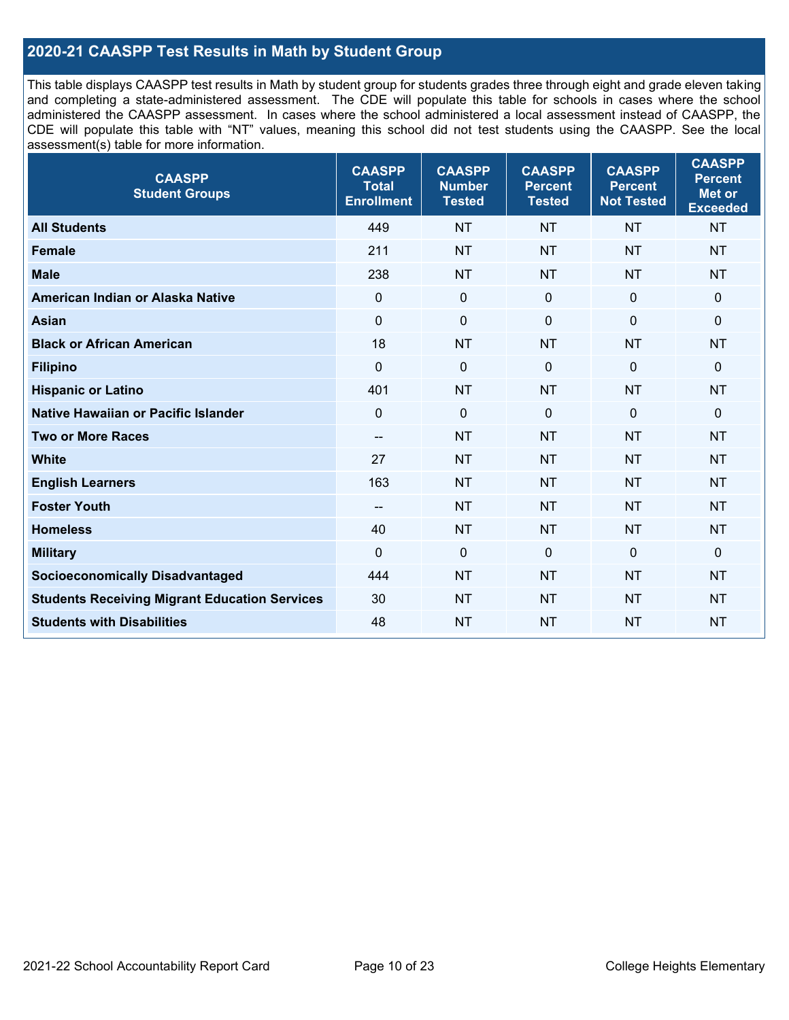## **2020-21 CAASPP Test Results in Math by Student Group**

This table displays CAASPP test results in Math by student group for students grades three through eight and grade eleven taking and completing a state-administered assessment. The CDE will populate this table for schools in cases where the school administered the CAASPP assessment. In cases where the school administered a local assessment instead of CAASPP, the CDE will populate this table with "NT" values, meaning this school did not test students using the CAASPP. See the local assessment(s) table for more information.

| <b>CAASPP</b><br><b>Student Groups</b>               | <b>CAASPP</b><br><b>Total</b><br><b>Enrollment</b> | <b>CAASPP</b><br><b>Number</b><br><b>Tested</b> | <b>CAASPP</b><br><b>Percent</b><br><b>Tested</b> | <b>CAASPP</b><br><b>Percent</b><br><b>Not Tested</b> | <b>CAASPP</b><br><b>Percent</b><br><b>Met or</b><br><b>Exceeded</b> |
|------------------------------------------------------|----------------------------------------------------|-------------------------------------------------|--------------------------------------------------|------------------------------------------------------|---------------------------------------------------------------------|
| <b>All Students</b>                                  | 449                                                | <b>NT</b>                                       | <b>NT</b>                                        | <b>NT</b>                                            | <b>NT</b>                                                           |
| <b>Female</b>                                        | 211                                                | <b>NT</b>                                       | <b>NT</b>                                        | <b>NT</b>                                            | <b>NT</b>                                                           |
| <b>Male</b>                                          | 238                                                | <b>NT</b>                                       | <b>NT</b>                                        | <b>NT</b>                                            | <b>NT</b>                                                           |
| American Indian or Alaska Native                     | $\mathbf 0$                                        | $\pmb{0}$                                       | $\mathbf 0$                                      | $\mathbf 0$                                          | $\mathbf 0$                                                         |
| <b>Asian</b>                                         | $\mathbf 0$                                        | $\pmb{0}$                                       | $\Omega$                                         | $\mathbf 0$                                          | 0                                                                   |
| <b>Black or African American</b>                     | 18                                                 | <b>NT</b>                                       | <b>NT</b>                                        | <b>NT</b>                                            | <b>NT</b>                                                           |
| <b>Filipino</b>                                      | $\mathbf 0$                                        | $\mathbf 0$                                     | $\Omega$                                         | $\mathbf 0$                                          | $\Omega$                                                            |
| <b>Hispanic or Latino</b>                            | 401                                                | <b>NT</b>                                       | <b>NT</b>                                        | <b>NT</b>                                            | <b>NT</b>                                                           |
| Native Hawaiian or Pacific Islander                  | $\mathbf 0$                                        | $\mathbf 0$                                     | $\mathbf 0$                                      | $\mathbf 0$                                          | 0                                                                   |
| <b>Two or More Races</b>                             | $\overline{a}$                                     | <b>NT</b>                                       | <b>NT</b>                                        | <b>NT</b>                                            | <b>NT</b>                                                           |
| <b>White</b>                                         | 27                                                 | <b>NT</b>                                       | <b>NT</b>                                        | <b>NT</b>                                            | <b>NT</b>                                                           |
| <b>English Learners</b>                              | 163                                                | <b>NT</b>                                       | <b>NT</b>                                        | <b>NT</b>                                            | <b>NT</b>                                                           |
| <b>Foster Youth</b>                                  | $-$                                                | <b>NT</b>                                       | <b>NT</b>                                        | <b>NT</b>                                            | <b>NT</b>                                                           |
| <b>Homeless</b>                                      | 40                                                 | <b>NT</b>                                       | <b>NT</b>                                        | <b>NT</b>                                            | <b>NT</b>                                                           |
| <b>Military</b>                                      | $\mathbf 0$                                        | $\mathbf 0$                                     | $\mathbf 0$                                      | $\mathbf{0}$                                         | $\mathbf 0$                                                         |
| <b>Socioeconomically Disadvantaged</b>               | 444                                                | <b>NT</b>                                       | <b>NT</b>                                        | <b>NT</b>                                            | <b>NT</b>                                                           |
| <b>Students Receiving Migrant Education Services</b> | 30                                                 | <b>NT</b>                                       | <b>NT</b>                                        | <b>NT</b>                                            | NT                                                                  |
| <b>Students with Disabilities</b>                    | 48                                                 | <b>NT</b>                                       | <b>NT</b>                                        | <b>NT</b>                                            | <b>NT</b>                                                           |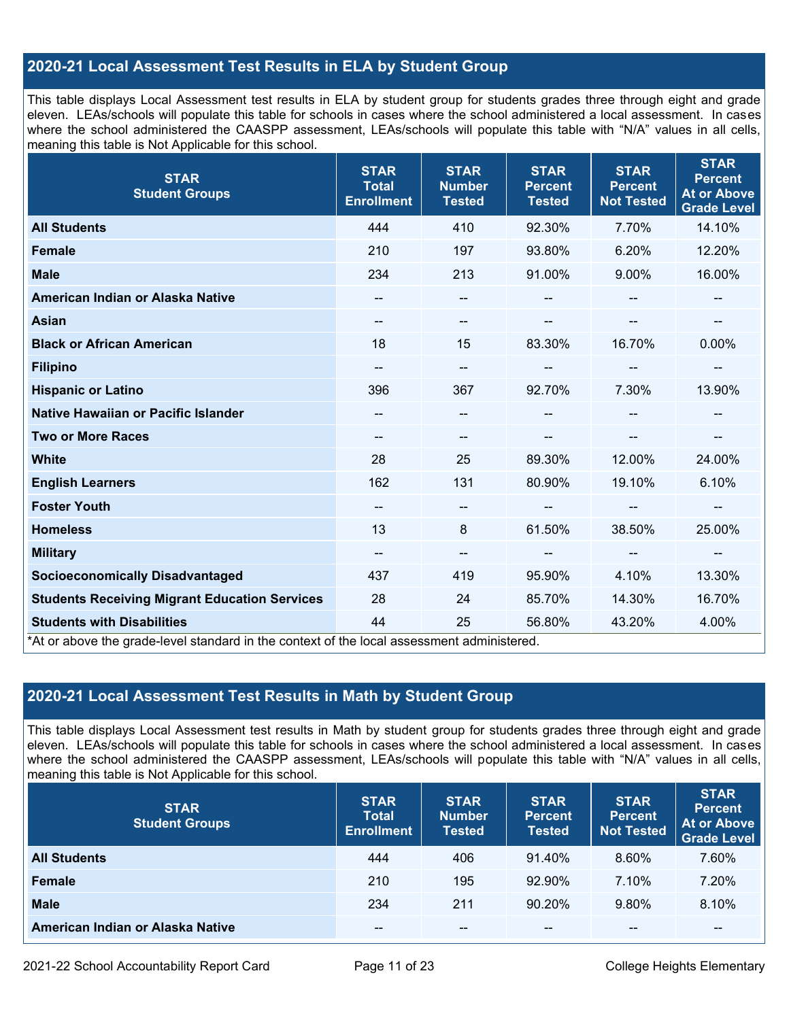## **2020-21 Local Assessment Test Results in ELA by Student Group**

This table displays Local Assessment test results in ELA by student group for students grades three through eight and grade eleven. LEAs/schools will populate this table for schools in cases where the school administered a local assessment. In cases where the school administered the CAASPP assessment, LEAs/schools will populate this table with "N/A" values in all cells, meaning this table is Not Applicable for this school.

| <b>STAR</b><br><b>Student Groups</b>                                                                                            | <b>STAR</b><br><b>Total</b><br><b>Enrollment</b> | <b>STAR</b><br><b>Number</b><br><b>Tested</b> | <b>STAR</b><br><b>Percent</b><br><b>Tested</b> | <b>STAR</b><br><b>Percent</b><br><b>Not Tested</b> | <b>STAR</b><br><b>Percent</b><br><b>At or Above</b><br><b>Grade Level</b> |
|---------------------------------------------------------------------------------------------------------------------------------|--------------------------------------------------|-----------------------------------------------|------------------------------------------------|----------------------------------------------------|---------------------------------------------------------------------------|
| <b>All Students</b>                                                                                                             | 444                                              | 410                                           | 92.30%                                         | 7.70%                                              | 14.10%                                                                    |
| <b>Female</b>                                                                                                                   | 210                                              | 197                                           | 93.80%                                         | 6.20%                                              | 12.20%                                                                    |
| <b>Male</b>                                                                                                                     | 234                                              | 213                                           | 91.00%                                         | 9.00%                                              | 16.00%                                                                    |
| American Indian or Alaska Native                                                                                                | $\qquad \qquad -$                                | --                                            | --                                             |                                                    |                                                                           |
| <b>Asian</b>                                                                                                                    | --                                               | --                                            |                                                | --                                                 |                                                                           |
| <b>Black or African American</b>                                                                                                | 18                                               | 15                                            | 83.30%                                         | 16.70%                                             | 0.00%                                                                     |
| <b>Filipino</b>                                                                                                                 | --                                               | --                                            | --                                             | --                                                 | $\overline{\phantom{a}}$                                                  |
| <b>Hispanic or Latino</b>                                                                                                       | 396                                              | 367                                           | 92.70%                                         | 7.30%                                              | 13.90%                                                                    |
| Native Hawaiian or Pacific Islander                                                                                             |                                                  | --                                            |                                                |                                                    |                                                                           |
| <b>Two or More Races</b>                                                                                                        | --                                               | --                                            |                                                |                                                    | --                                                                        |
| <b>White</b>                                                                                                                    | 28                                               | 25                                            | 89.30%                                         | 12.00%                                             | 24.00%                                                                    |
| <b>English Learners</b>                                                                                                         | 162                                              | 131                                           | 80.90%                                         | 19.10%                                             | 6.10%                                                                     |
| <b>Foster Youth</b>                                                                                                             | $\qquad \qquad -$                                | $\qquad \qquad -$                             |                                                | --                                                 | --                                                                        |
| <b>Homeless</b>                                                                                                                 | 13                                               | 8                                             | 61.50%                                         | 38.50%                                             | 25.00%                                                                    |
| <b>Military</b>                                                                                                                 | $\qquad \qquad -$                                | --                                            | $\sim$                                         | $\overline{\phantom{a}}$                           | $\overline{\phantom{a}}$                                                  |
| <b>Socioeconomically Disadvantaged</b>                                                                                          | 437                                              | 419                                           | 95.90%                                         | 4.10%                                              | 13.30%                                                                    |
| <b>Students Receiving Migrant Education Services</b>                                                                            | 28                                               | 24                                            | 85.70%                                         | 14.30%                                             | 16.70%                                                                    |
| <b>Students with Disabilities</b><br>*At or above the grade-level standard in the context of the local assessment administered. | 44                                               | 25                                            | 56.80%                                         | 43.20%                                             | 4.00%                                                                     |

## **2020-21 Local Assessment Test Results in Math by Student Group**

This table displays Local Assessment test results in Math by student group for students grades three through eight and grade eleven. LEAs/schools will populate this table for schools in cases where the school administered a local assessment. In cases where the school administered the CAASPP assessment, LEAs/schools will populate this table with "N/A" values in all cells, meaning this table is Not Applicable for this school.

| <b>STAR</b><br><b>Student Groups</b> | <b>STAR</b><br><b>Total</b><br><b>Enrollment</b> | <b>STAR</b><br><b>Number</b><br><b>Tested</b> | <b>STAR</b><br><b>Percent</b><br><b>Tested</b> | <b>STAR</b><br><b>Percent</b><br><b>Not Tested</b> | <b>STAR</b><br><b>Percent</b><br><b>At or Above</b><br><b>Grade Level</b> |
|--------------------------------------|--------------------------------------------------|-----------------------------------------------|------------------------------------------------|----------------------------------------------------|---------------------------------------------------------------------------|
| <b>All Students</b>                  | 444                                              | 406                                           | 91.40%                                         | 8.60%                                              | 7.60%                                                                     |
| <b>Female</b>                        | 210                                              | 195                                           | $92.90\%$                                      | 7.10%                                              | 7.20%                                                                     |
| <b>Male</b>                          | 234                                              | 211                                           | 90.20%                                         | 9.80%                                              | 8.10%                                                                     |
| American Indian or Alaska Native     | --                                               | $- -$                                         | $- -$                                          | $- -$                                              | $\overline{\phantom{m}}$                                                  |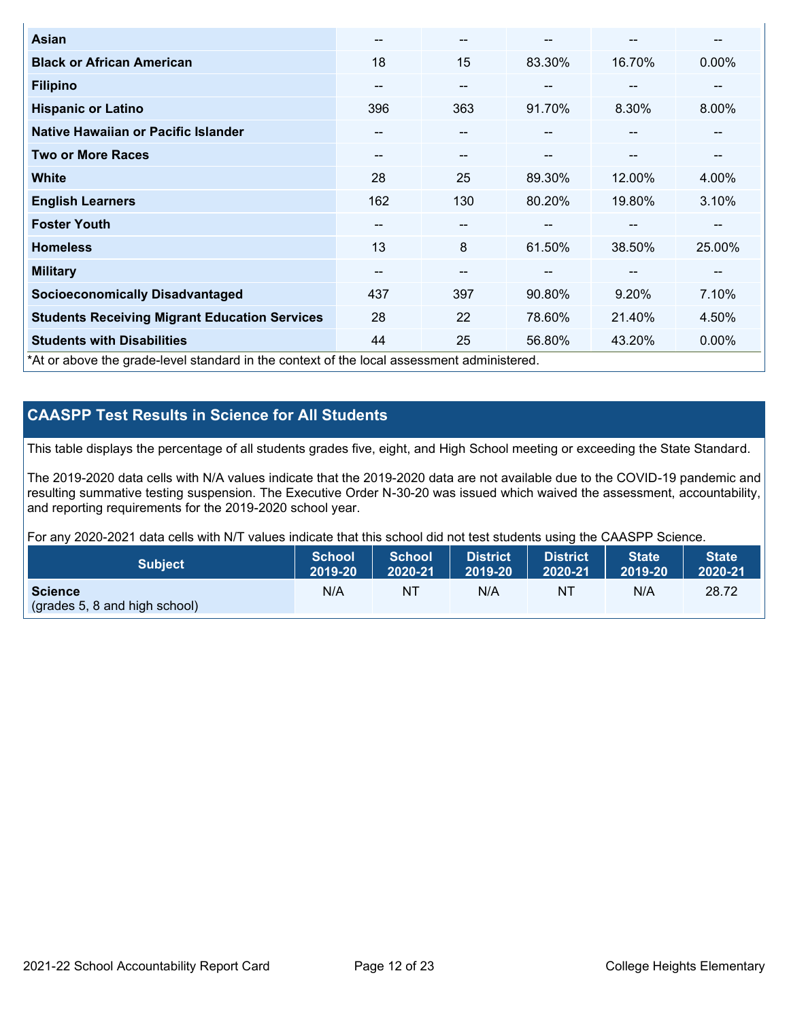| <b>Asian</b>                                                                               | --                       | $- -$                    |        | --     | --     |
|--------------------------------------------------------------------------------------------|--------------------------|--------------------------|--------|--------|--------|
| <b>Black or African American</b>                                                           | 18                       | 15                       | 83.30% | 16.70% | 0.00%  |
| <b>Filipino</b>                                                                            | --                       | $- -$                    | --     | --     | --     |
| <b>Hispanic or Latino</b>                                                                  | 396                      | 363                      | 91.70% | 8.30%  | 8.00%  |
| Native Hawaiian or Pacific Islander                                                        | $\overline{\phantom{m}}$ | $\qquad \qquad \cdots$   |        | $\sim$ | --     |
| <b>Two or More Races</b>                                                                   | $\overline{\phantom{m}}$ | $- -$                    | --     | $\sim$ | --     |
| <b>White</b>                                                                               | 28                       | 25                       | 89.30% | 12.00% | 4.00%  |
| <b>English Learners</b>                                                                    | 162                      | 130                      | 80.20% | 19.80% | 3.10%  |
| <b>Foster Youth</b>                                                                        | --                       | $- -$                    |        | --     | --     |
| <b>Homeless</b>                                                                            | 13                       | 8                        | 61.50% | 38.50% | 25.00% |
| <b>Military</b>                                                                            | --                       | $\overline{\phantom{m}}$ |        | --     | --     |
| <b>Socioeconomically Disadvantaged</b>                                                     | 437                      | 397                      | 90.80% | 9.20%  | 7.10%  |
| <b>Students Receiving Migrant Education Services</b>                                       | 28                       | 22                       | 78.60% | 21.40% | 4.50%  |
| <b>Students with Disabilities</b>                                                          | 44                       | 25                       | 56.80% | 43.20% | 0.00%  |
| *At or above the grade-level standard in the context of the local assessment administered. |                          |                          |        |        |        |

## **CAASPP Test Results in Science for All Students**

This table displays the percentage of all students grades five, eight, and High School meeting or exceeding the State Standard.

The 2019-2020 data cells with N/A values indicate that the 2019-2020 data are not available due to the COVID-19 pandemic and resulting summative testing suspension. The Executive Order N-30-20 was issued which waived the assessment, accountability, and reporting requirements for the 2019-2020 school year.

For any 2020-2021 data cells with N/T values indicate that this school did not test students using the CAASPP Science.

| <b>Subject</b>                                                  | <b>School</b> | <b>School</b> | <b>District</b> | District | <b>State</b> | <b>State</b> |
|-----------------------------------------------------------------|---------------|---------------|-----------------|----------|--------------|--------------|
|                                                                 | 2019-20       | 2020-21       | 2019-20         | 2020-21  | 2019-20      | 2020-21      |
| <b>Science</b><br>$\sqrt{(grades 5, 8 \text{ and high school)}$ | N/A           | NT            | N/A             | NT       | N/A          | 28.72        |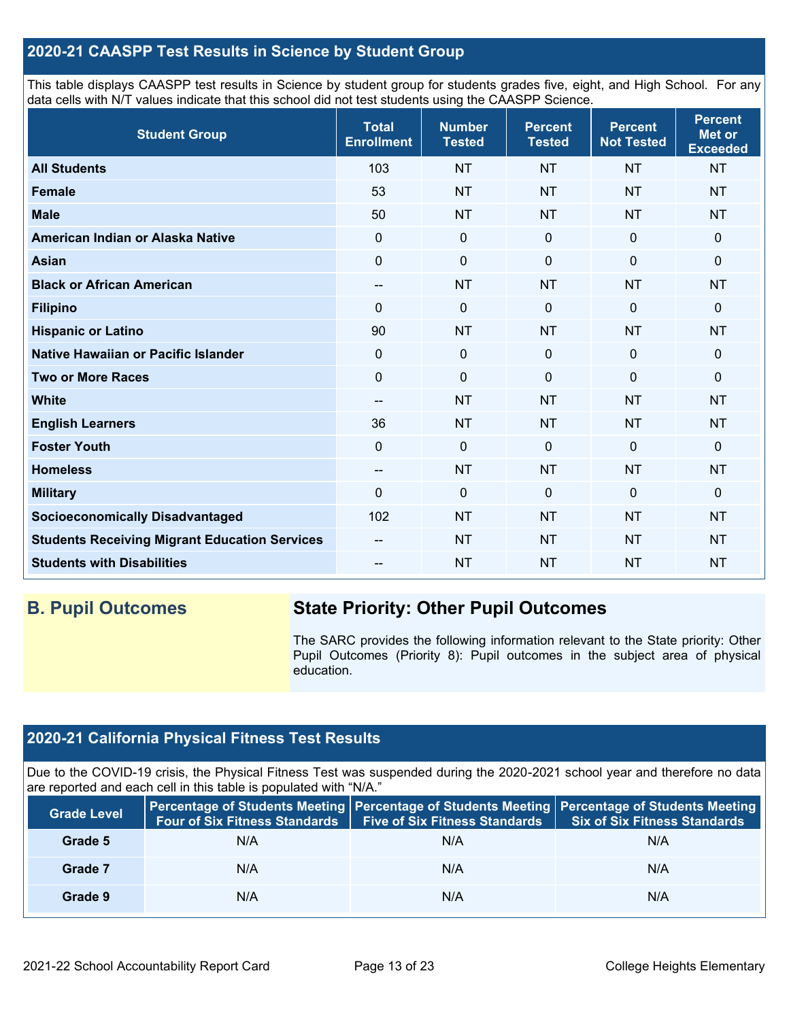## **2020-21 CAASPP Test Results in Science by Student Group**

This table displays CAASPP test results in Science by student group for students grades five, eight, and High School. For any data cells with N/T values indicate that this school did not test students using the CAASPP Science.

| <b>Student Group</b>                                 | <b>Total</b><br><b>Enrollment</b> | <b>Number</b><br><b>Tested</b> | <b>Percent</b><br><b>Tested</b> | <b>Percent</b><br><b>Not Tested</b> | <b>Percent</b><br><b>Met or</b><br><b>Exceeded</b> |
|------------------------------------------------------|-----------------------------------|--------------------------------|---------------------------------|-------------------------------------|----------------------------------------------------|
| <b>All Students</b>                                  | 103                               | <b>NT</b>                      | <b>NT</b>                       | <b>NT</b>                           | <b>NT</b>                                          |
| <b>Female</b>                                        | 53                                | <b>NT</b>                      | <b>NT</b>                       | <b>NT</b>                           | <b>NT</b>                                          |
| <b>Male</b>                                          | 50                                | <b>NT</b>                      | <b>NT</b>                       | <b>NT</b>                           | <b>NT</b>                                          |
| American Indian or Alaska Native                     | $\Omega$                          | $\mathbf 0$                    | $\mathbf 0$                     | $\mathbf 0$                         | 0                                                  |
| <b>Asian</b>                                         | $\mathbf 0$                       | $\mathbf 0$                    | $\mathbf 0$                     | $\mathbf 0$                         | 0                                                  |
| <b>Black or African American</b>                     | --                                | <b>NT</b>                      | <b>NT</b>                       | <b>NT</b>                           | <b>NT</b>                                          |
| <b>Filipino</b>                                      | $\Omega$                          | $\pmb{0}$                      | 0                               | 0                                   | 0                                                  |
| <b>Hispanic or Latino</b>                            | 90                                | <b>NT</b>                      | <b>NT</b>                       | <b>NT</b>                           | <b>NT</b>                                          |
| Native Hawaiian or Pacific Islander                  | $\mathbf 0$                       | $\mathbf 0$                    | $\mathbf 0$                     | $\overline{0}$                      | $\mathbf 0$                                        |
| <b>Two or More Races</b>                             | $\mathbf 0$                       | $\mathbf 0$                    | $\mathbf 0$                     | $\overline{0}$                      | $\mathbf 0$                                        |
| <b>White</b>                                         | --                                | <b>NT</b>                      | <b>NT</b>                       | <b>NT</b>                           | <b>NT</b>                                          |
| <b>English Learners</b>                              | 36                                | <b>NT</b>                      | <b>NT</b>                       | <b>NT</b>                           | <b>NT</b>                                          |
| <b>Foster Youth</b>                                  | $\Omega$                          | $\mathbf 0$                    | $\mathbf 0$                     | $\mathbf 0$                         | 0                                                  |
| <b>Homeless</b>                                      | --                                | <b>NT</b>                      | <b>NT</b>                       | <b>NT</b>                           | <b>NT</b>                                          |
| <b>Military</b>                                      | $\Omega$                          | $\mathbf 0$                    | $\mathbf{0}$                    | $\mathbf 0$                         | 0                                                  |
| <b>Socioeconomically Disadvantaged</b>               | 102                               | <b>NT</b>                      | <b>NT</b>                       | <b>NT</b>                           | <b>NT</b>                                          |
| <b>Students Receiving Migrant Education Services</b> |                                   | <b>NT</b>                      | <b>NT</b>                       | <b>NT</b>                           | <b>NT</b>                                          |
| <b>Students with Disabilities</b>                    |                                   | <b>NT</b>                      | <b>NT</b>                       | <b>NT</b>                           | <b>NT</b>                                          |

## **B. Pupil Outcomes State Priority: Other Pupil Outcomes**

The SARC provides the following information relevant to the State priority: Other Pupil Outcomes (Priority 8): Pupil outcomes in the subject area of physical education.

## **2020-21 California Physical Fitness Test Results**

Due to the COVID-19 crisis, the Physical Fitness Test was suspended during the 2020-2021 school year and therefore no data are reported and each cell in this table is populated with "N/A."

| <b>Grade Level</b> | <b>Four of Six Fitness Standards</b> | <b>Five of Six Fitness Standards</b> | Percentage of Students Meeting   Percentage of Students Meeting   Percentage of Students Meeting<br><b>Six of Six Fitness Standards</b> |
|--------------------|--------------------------------------|--------------------------------------|-----------------------------------------------------------------------------------------------------------------------------------------|
| Grade 5            | N/A                                  | N/A                                  | N/A                                                                                                                                     |
| Grade 7            | N/A                                  | N/A                                  | N/A                                                                                                                                     |
| Grade 9            | N/A                                  | N/A                                  | N/A                                                                                                                                     |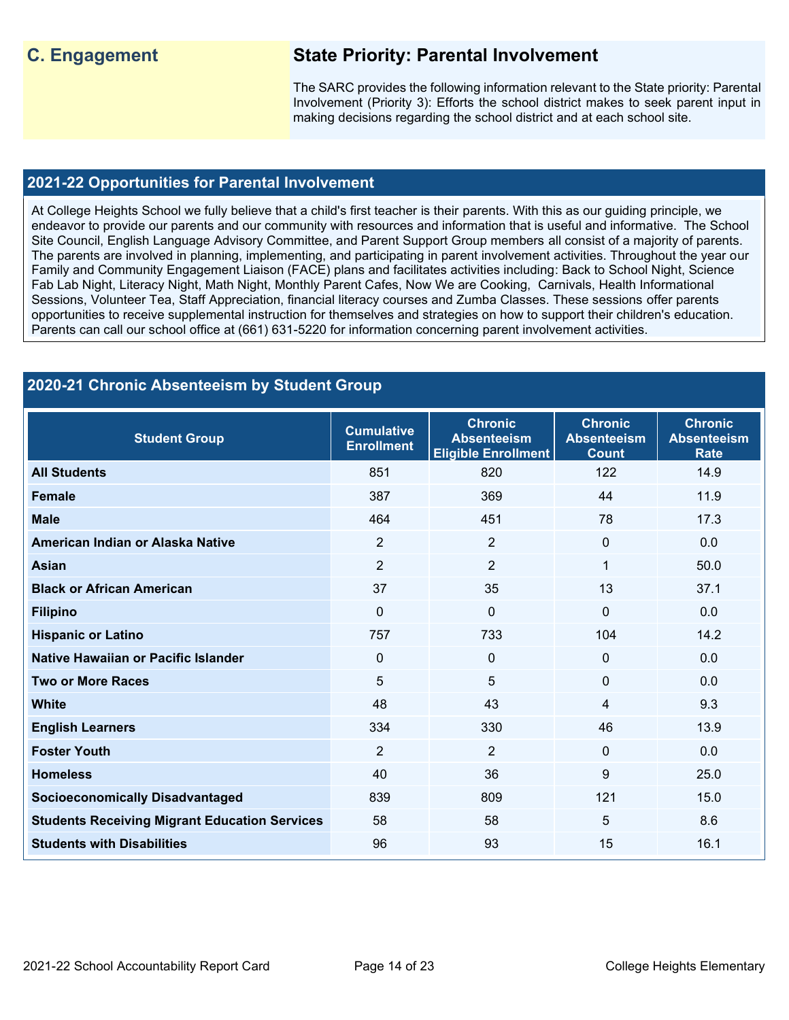## **C. Engagement State Priority: Parental Involvement**

The SARC provides the following information relevant to the State priority: Parental Involvement (Priority 3): Efforts the school district makes to seek parent input in making decisions regarding the school district and at each school site.

#### **2021-22 Opportunities for Parental Involvement**

At College Heights School we fully believe that a child's first teacher is their parents. With this as our guiding principle, we endeavor to provide our parents and our community with resources and information that is useful and informative. The School Site Council, English Language Advisory Committee, and Parent Support Group members all consist of a majority of parents. The parents are involved in planning, implementing, and participating in parent involvement activities. Throughout the year our Family and Community Engagement Liaison (FACE) plans and facilitates activities including: Back to School Night, Science Fab Lab Night, Literacy Night, Math Night, Monthly Parent Cafes, Now We are Cooking, Carnivals, Health Informational Sessions, Volunteer Tea, Staff Appreciation, financial literacy courses and Zumba Classes. These sessions offer parents opportunities to receive supplemental instruction for themselves and strategies on how to support their children's education. Parents can call our school office at (661) 631-5220 for information concerning parent involvement activities.

### **2020-21 Chronic Absenteeism by Student Group**

| <b>Student Group</b>                                 | <b>Cumulative</b><br><b>Enrollment</b> | <b>Chronic</b><br><b>Absenteeism</b><br><b>Eligible Enrollment</b> | <b>Chronic</b><br><b>Absenteeism</b><br><b>Count</b> | <b>Chronic</b><br><b>Absenteeism</b><br><b>Rate</b> |
|------------------------------------------------------|----------------------------------------|--------------------------------------------------------------------|------------------------------------------------------|-----------------------------------------------------|
| <b>All Students</b>                                  | 851                                    | 820                                                                | 122                                                  | 14.9                                                |
| Female                                               | 387                                    | 369                                                                | 44                                                   | 11.9                                                |
| <b>Male</b>                                          | 464                                    | 451                                                                | 78                                                   | 17.3                                                |
| American Indian or Alaska Native                     | 2                                      | $\overline{2}$                                                     | $\Omega$                                             | 0.0                                                 |
| <b>Asian</b>                                         | $\overline{2}$                         | $\overline{2}$                                                     | 1                                                    | 50.0                                                |
| <b>Black or African American</b>                     | 37                                     | 35                                                                 | 13                                                   | 37.1                                                |
| <b>Filipino</b>                                      | $\Omega$                               | $\mathbf 0$                                                        | $\Omega$                                             | 0.0                                                 |
| <b>Hispanic or Latino</b>                            | 757                                    | 733                                                                | 104                                                  | 14.2                                                |
| Native Hawaiian or Pacific Islander                  | $\mathbf{0}$                           | 0                                                                  | 0                                                    | 0.0                                                 |
| <b>Two or More Races</b>                             | 5                                      | 5                                                                  | 0                                                    | 0.0                                                 |
| <b>White</b>                                         | 48                                     | 43                                                                 | 4                                                    | 9.3                                                 |
| <b>English Learners</b>                              | 334                                    | 330                                                                | 46                                                   | 13.9                                                |
| <b>Foster Youth</b>                                  | $\overline{2}$                         | $\overline{2}$                                                     | $\Omega$                                             | 0.0                                                 |
| <b>Homeless</b>                                      | 40                                     | 36                                                                 | 9                                                    | 25.0                                                |
| <b>Socioeconomically Disadvantaged</b>               | 839                                    | 809                                                                | 121                                                  | 15.0                                                |
| <b>Students Receiving Migrant Education Services</b> | 58                                     | 58                                                                 | 5                                                    | 8.6                                                 |
| <b>Students with Disabilities</b>                    | 96                                     | 93                                                                 | 15                                                   | 16.1                                                |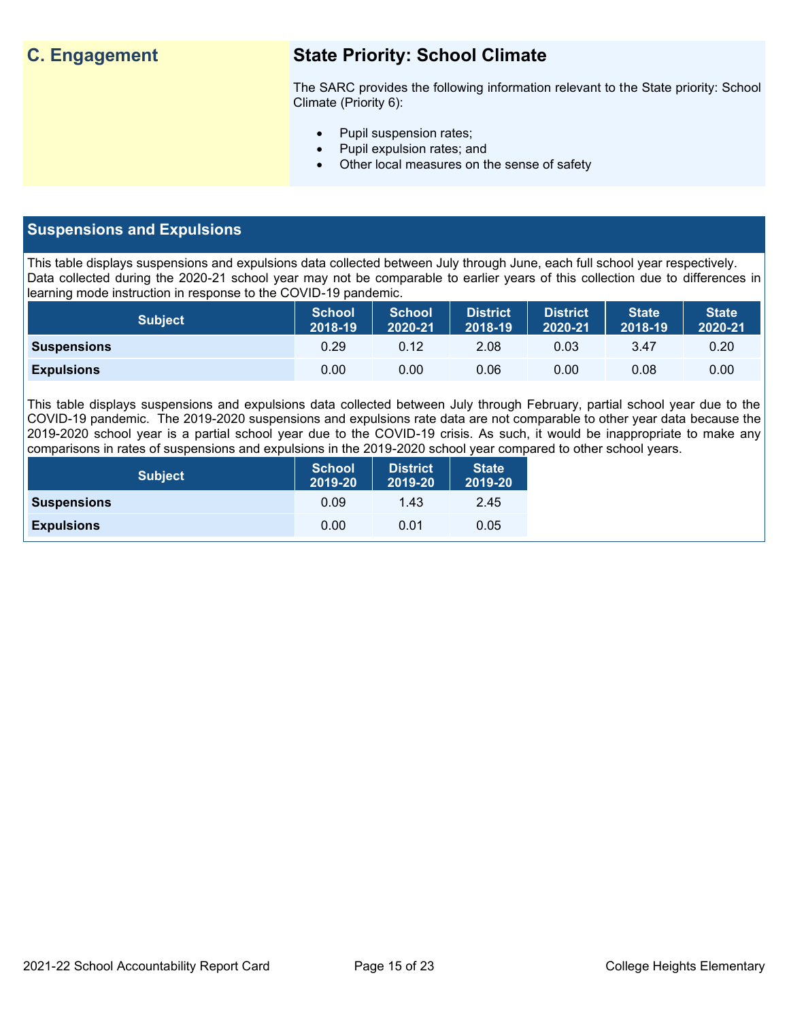## **C. Engagement State Priority: School Climate**

The SARC provides the following information relevant to the State priority: School Climate (Priority 6):

- Pupil suspension rates;
- Pupil expulsion rates; and
- Other local measures on the sense of safety

## **Suspensions and Expulsions**

This table displays suspensions and expulsions data collected between July through June, each full school year respectively. Data collected during the 2020-21 school year may not be comparable to earlier years of this collection due to differences in learning mode instruction in response to the COVID-19 pandemic.

| <b>Subject</b>     | <b>School</b><br>2018-19 | <b>School</b><br>2020-21 | <b>District</b><br>2018-19 | District<br>2020-21 | <b>State</b><br>2018-19 | <b>State</b><br>2020-21 |
|--------------------|--------------------------|--------------------------|----------------------------|---------------------|-------------------------|-------------------------|
| <b>Suspensions</b> | 0.29                     | 0.12                     | 2.08                       | 0.03                | 3.47                    | 0.20                    |
| <b>Expulsions</b>  | 0.00                     | 0.00                     | 0.06                       | 0.00                | 0.08                    | 0.00                    |

This table displays suspensions and expulsions data collected between July through February, partial school year due to the COVID-19 pandemic. The 2019-2020 suspensions and expulsions rate data are not comparable to other year data because the 2019-2020 school year is a partial school year due to the COVID-19 crisis. As such, it would be inappropriate to make any comparisons in rates of suspensions and expulsions in the 2019-2020 school year compared to other school years.

| <b>Subject</b>     | <b>School</b><br>2019-20 | <b>District</b><br>2019-20 | <b>State</b><br>2019-20 |
|--------------------|--------------------------|----------------------------|-------------------------|
| <b>Suspensions</b> | 0.09                     | 1.43                       | 2.45                    |
| <b>Expulsions</b>  | 0.00                     | 0.01                       | 0.05                    |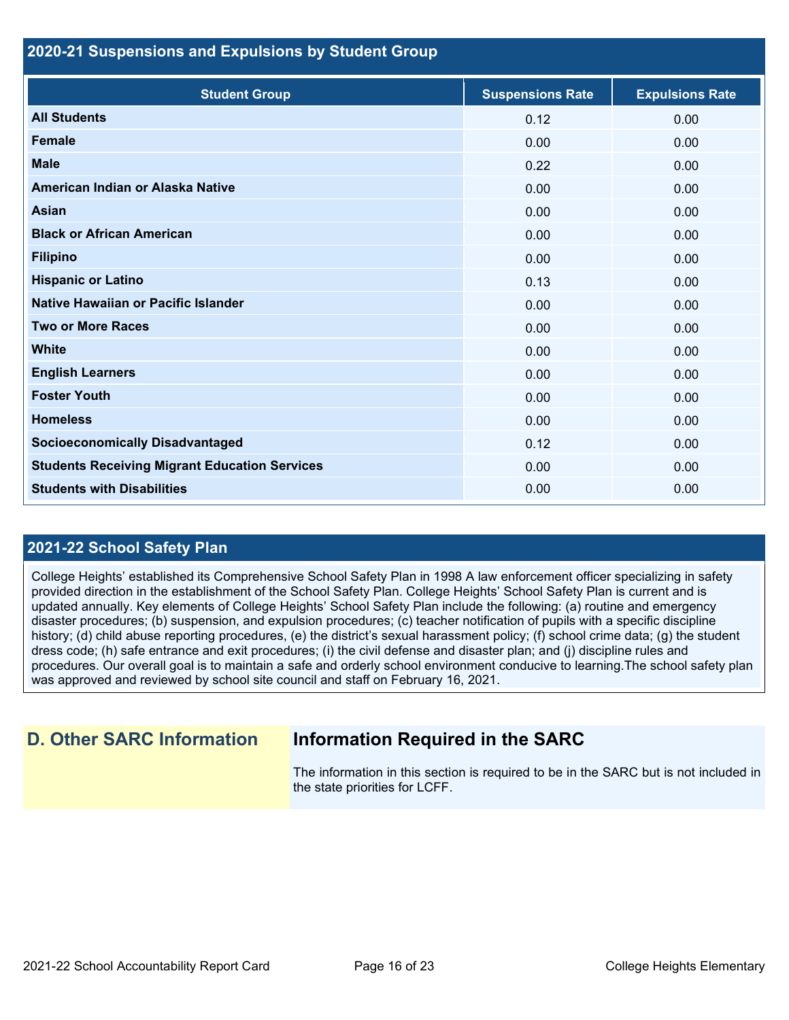#### **2020-21 Suspensions and Expulsions by Student Group**

| <b>Student Group</b>                                 | <b>Suspensions Rate</b> | <b>Expulsions Rate</b> |
|------------------------------------------------------|-------------------------|------------------------|
| <b>All Students</b>                                  | 0.12                    | 0.00                   |
| <b>Female</b>                                        | 0.00                    | 0.00                   |
| <b>Male</b>                                          | 0.22                    | 0.00                   |
| American Indian or Alaska Native                     | 0.00                    | 0.00                   |
| <b>Asian</b>                                         | 0.00                    | 0.00                   |
| <b>Black or African American</b>                     | 0.00                    | 0.00                   |
| <b>Filipino</b>                                      | 0.00                    | 0.00                   |
| <b>Hispanic or Latino</b>                            | 0.13                    | 0.00                   |
| Native Hawaiian or Pacific Islander                  | 0.00                    | 0.00                   |
| <b>Two or More Races</b>                             | 0.00                    | 0.00                   |
| <b>White</b>                                         | 0.00                    | 0.00                   |
| <b>English Learners</b>                              | 0.00                    | 0.00                   |
| <b>Foster Youth</b>                                  | 0.00                    | 0.00                   |
| <b>Homeless</b>                                      | 0.00                    | 0.00                   |
| <b>Socioeconomically Disadvantaged</b>               | 0.12                    | 0.00                   |
| <b>Students Receiving Migrant Education Services</b> | 0.00                    | 0.00                   |
| <b>Students with Disabilities</b>                    | 0.00                    | 0.00                   |

## **2021-22 School Safety Plan**

College Heights' established its Comprehensive School Safety Plan in 1998 A law enforcement officer specializing in safety provided direction in the establishment of the School Safety Plan. College Heights' School Safety Plan is current and is updated annually. Key elements of College Heights' School Safety Plan include the following: (a) routine and emergency disaster procedures; (b) suspension, and expulsion procedures; (c) teacher notification of pupils with a specific discipline history; (d) child abuse reporting procedures, (e) the district's sexual harassment policy; (f) school crime data; (g) the student dress code; (h) safe entrance and exit procedures; (i) the civil defense and disaster plan; and (j) discipline rules and procedures. Our overall goal is to maintain a safe and orderly school environment conducive to learning.The school safety plan was approved and reviewed by school site council and staff on February 16, 2021.

## **D. Other SARC Information Information Required in the SARC**

The information in this section is required to be in the SARC but is not included in the state priorities for LCFF.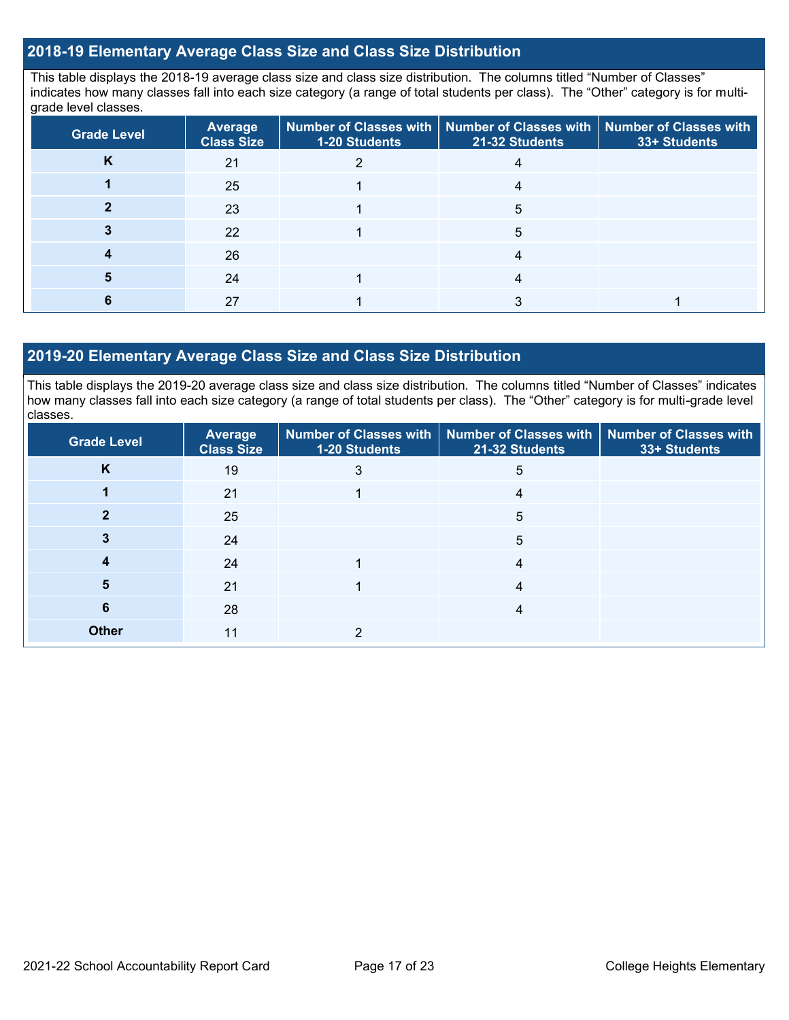## **2018-19 Elementary Average Class Size and Class Size Distribution**

This table displays the 2018-19 average class size and class size distribution. The columns titled "Number of Classes" indicates how many classes fall into each size category (a range of total students per class). The "Other" category is for multigrade level classes.

| <b>Grade Level</b> | <b>Average</b><br><b>Class Size</b> | <b>1-20 Students</b> | Number of Classes with   Number of Classes with   Number of Classes with<br>21-32 Students | 33+ Students |
|--------------------|-------------------------------------|----------------------|--------------------------------------------------------------------------------------------|--------------|
| K                  | 21                                  |                      |                                                                                            |              |
|                    | 25                                  |                      |                                                                                            |              |
|                    | 23                                  |                      | 5                                                                                          |              |
|                    | 22                                  |                      | 5                                                                                          |              |
|                    | 26                                  |                      |                                                                                            |              |
|                    | 24                                  |                      |                                                                                            |              |
|                    | 27                                  |                      |                                                                                            |              |

#### **2019-20 Elementary Average Class Size and Class Size Distribution**

This table displays the 2019-20 average class size and class size distribution. The columns titled "Number of Classes" indicates how many classes fall into each size category (a range of total students per class). The "Other" category is for multi-grade level classes.

| <b>Grade Level</b> | Average<br><b>Class Size</b> | 1-20 Students | Number of Classes with   Number of Classes with   Number of Classes with<br>21-32 Students | 33+ Students |
|--------------------|------------------------------|---------------|--------------------------------------------------------------------------------------------|--------------|
| K                  | 19                           | 3             | 5                                                                                          |              |
|                    | 21                           |               | 4                                                                                          |              |
|                    | 25                           |               | 5                                                                                          |              |
|                    | 24                           |               | 5                                                                                          |              |
|                    | 24                           |               | 4                                                                                          |              |
| 5                  | 21                           |               | 4                                                                                          |              |
| 6                  | 28                           |               | 4                                                                                          |              |
| <b>Other</b>       | 11                           | ◠             |                                                                                            |              |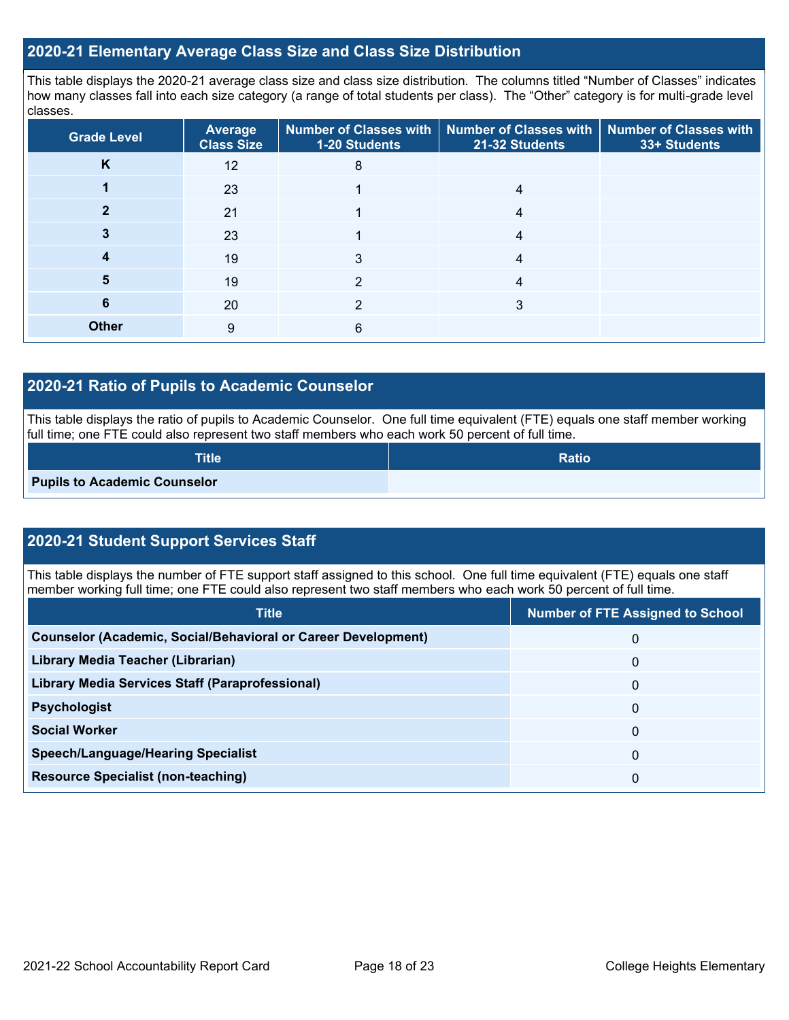### **2020-21 Elementary Average Class Size and Class Size Distribution**

This table displays the 2020-21 average class size and class size distribution. The columns titled "Number of Classes" indicates how many classes fall into each size category (a range of total students per class). The "Other" category is for multi-grade level classes.

| <b>Grade Level</b> | <b>Average</b><br><b>Class Size</b> | <b>1-20 Students</b> | Number of Classes with   Number of Classes with   Number of Classes with<br>21-32 Students | 33+ Students |
|--------------------|-------------------------------------|----------------------|--------------------------------------------------------------------------------------------|--------------|
| K                  | 12                                  | 8                    |                                                                                            |              |
|                    | 23                                  |                      | 4                                                                                          |              |
|                    | 21                                  |                      | 4                                                                                          |              |
|                    | 23                                  |                      | 4                                                                                          |              |
|                    | 19                                  | 3                    | 4                                                                                          |              |
| 5                  | 19                                  | っ                    |                                                                                            |              |
| 6                  | 20                                  | っ                    | 3                                                                                          |              |
| <b>Other</b>       | 9                                   | 6                    |                                                                                            |              |

### **2020-21 Ratio of Pupils to Academic Counselor**

This table displays the ratio of pupils to Academic Counselor. One full time equivalent (FTE) equals one staff member working full time; one FTE could also represent two staff members who each work 50 percent of full time.

| <b>Title</b>                        | <b>Ratio</b> |
|-------------------------------------|--------------|
| <b>Pupils to Academic Counselor</b> |              |

## **2020-21 Student Support Services Staff**

This table displays the number of FTE support staff assigned to this school. One full time equivalent (FTE) equals one staff member working full time; one FTE could also represent two staff members who each work 50 percent of full time.

| <b>Title</b>                                                         | <b>Number of FTE Assigned to School</b> |
|----------------------------------------------------------------------|-----------------------------------------|
| <b>Counselor (Academic, Social/Behavioral or Career Development)</b> | 0                                       |
| Library Media Teacher (Librarian)                                    | 0                                       |
| <b>Library Media Services Staff (Paraprofessional)</b>               | 0                                       |
| <b>Psychologist</b>                                                  | 0                                       |
| <b>Social Worker</b>                                                 | 0                                       |
| <b>Speech/Language/Hearing Specialist</b>                            | 0                                       |
| <b>Resource Specialist (non-teaching)</b>                            | 0                                       |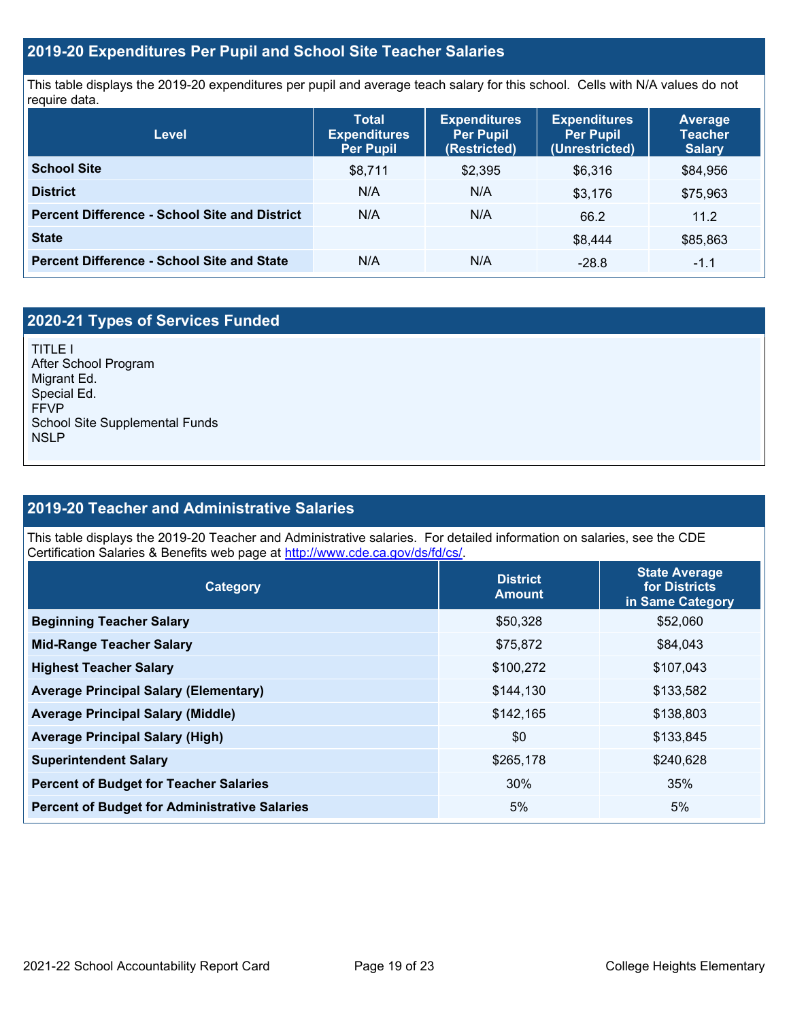## **2019-20 Expenditures Per Pupil and School Site Teacher Salaries**

This table displays the 2019-20 expenditures per pupil and average teach salary for this school. Cells with N/A values do not require data.

| Level                                                | <b>Expenditures</b><br><b>Total</b><br><b>Per Pupil</b><br><b>Expenditures</b><br>Per Pupil<br>(Restricted) |         | <b>Expenditures</b><br><b>Per Pupil</b><br>(Unrestricted) | <b>Average</b><br><b>Teacher</b><br><b>Salary</b> |  |
|------------------------------------------------------|-------------------------------------------------------------------------------------------------------------|---------|-----------------------------------------------------------|---------------------------------------------------|--|
| <b>School Site</b>                                   | \$8,711                                                                                                     | \$2,395 | \$6.316                                                   | \$84,956                                          |  |
| <b>District</b>                                      | N/A                                                                                                         | N/A     | \$3.176                                                   | \$75,963                                          |  |
| <b>Percent Difference - School Site and District</b> | N/A                                                                                                         | N/A     | 66.2                                                      | 11.2                                              |  |
| <b>State</b>                                         |                                                                                                             |         | \$8,444                                                   | \$85,863                                          |  |
| <b>Percent Difference - School Site and State</b>    | N/A                                                                                                         | N/A     | $-28.8$                                                   | $-1.1$                                            |  |

## **2020-21 Types of Services Funded**

TITLE I After School Program Migrant Ed. Special Ed. FFVP School Site Supplemental Funds NSLP

## **2019-20 Teacher and Administrative Salaries**

This table displays the 2019-20 Teacher and Administrative salaries. For detailed information on salaries, see the CDE Certification Salaries & Benefits web page at [http://www.cde.ca.gov/ds/fd/cs/.](http://www.cde.ca.gov/ds/fd/cs/)

| Category                                             | <b>District</b><br><b>Amount</b> | <b>State Average</b><br>for Districts<br>in Same Category |  |
|------------------------------------------------------|----------------------------------|-----------------------------------------------------------|--|
| <b>Beginning Teacher Salary</b>                      | \$50,328                         | \$52,060                                                  |  |
| <b>Mid-Range Teacher Salary</b>                      | \$75,872                         | \$84,043                                                  |  |
| <b>Highest Teacher Salary</b>                        | \$100,272                        | \$107,043                                                 |  |
| <b>Average Principal Salary (Elementary)</b>         | \$144,130                        | \$133,582                                                 |  |
| <b>Average Principal Salary (Middle)</b>             | \$142,165                        | \$138,803                                                 |  |
| <b>Average Principal Salary (High)</b>               | \$0                              | \$133,845                                                 |  |
| <b>Superintendent Salary</b>                         | \$265,178                        | \$240,628                                                 |  |
| <b>Percent of Budget for Teacher Salaries</b>        | 30%                              | 35%                                                       |  |
| <b>Percent of Budget for Administrative Salaries</b> | 5%                               | 5%                                                        |  |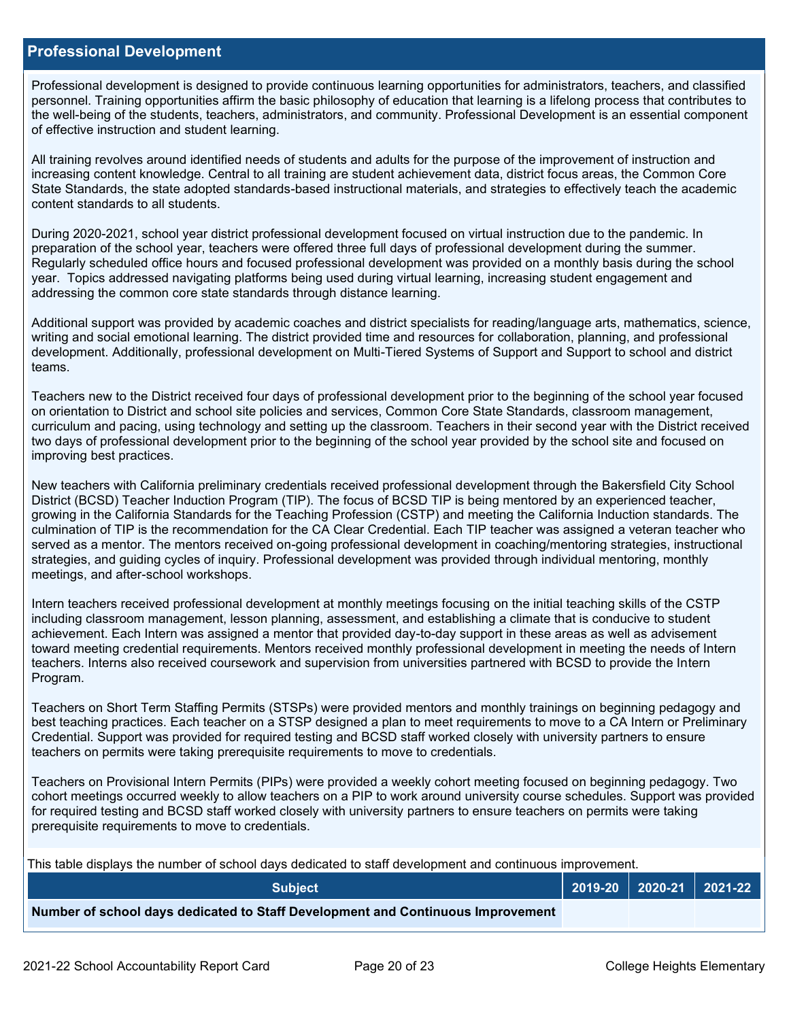#### **Professional Development**

Professional development is designed to provide continuous learning opportunities for administrators, teachers, and classified personnel. Training opportunities affirm the basic philosophy of education that learning is a lifelong process that contributes to the well-being of the students, teachers, administrators, and community. Professional Development is an essential component of effective instruction and student learning.

All training revolves around identified needs of students and adults for the purpose of the improvement of instruction and increasing content knowledge. Central to all training are student achievement data, district focus areas, the Common Core State Standards, the state adopted standards-based instructional materials, and strategies to effectively teach the academic content standards to all students.

During 2020-2021, school year district professional development focused on virtual instruction due to the pandemic. In preparation of the school year, teachers were offered three full days of professional development during the summer. Regularly scheduled office hours and focused professional development was provided on a monthly basis during the school year. Topics addressed navigating platforms being used during virtual learning, increasing student engagement and addressing the common core state standards through distance learning.

Additional support was provided by academic coaches and district specialists for reading/language arts, mathematics, science, writing and social emotional learning. The district provided time and resources for collaboration, planning, and professional development. Additionally, professional development on Multi-Tiered Systems of Support and Support to school and district teams.

Teachers new to the District received four days of professional development prior to the beginning of the school year focused on orientation to District and school site policies and services, Common Core State Standards, classroom management, curriculum and pacing, using technology and setting up the classroom. Teachers in their second year with the District received two days of professional development prior to the beginning of the school year provided by the school site and focused on improving best practices.

New teachers with California preliminary credentials received professional development through the Bakersfield City School District (BCSD) Teacher Induction Program (TIP). The focus of BCSD TIP is being mentored by an experienced teacher, growing in the California Standards for the Teaching Profession (CSTP) and meeting the California Induction standards. The culmination of TIP is the recommendation for the CA Clear Credential. Each TIP teacher was assigned a veteran teacher who served as a mentor. The mentors received on-going professional development in coaching/mentoring strategies, instructional strategies, and guiding cycles of inquiry. Professional development was provided through individual mentoring, monthly meetings, and after-school workshops.

Intern teachers received professional development at monthly meetings focusing on the initial teaching skills of the CSTP including classroom management, lesson planning, assessment, and establishing a climate that is conducive to student achievement. Each Intern was assigned a mentor that provided day-to-day support in these areas as well as advisement toward meeting credential requirements. Mentors received monthly professional development in meeting the needs of Intern teachers. Interns also received coursework and supervision from universities partnered with BCSD to provide the Intern Program.

Teachers on Short Term Staffing Permits (STSPs) were provided mentors and monthly trainings on beginning pedagogy and best teaching practices. Each teacher on a STSP designed a plan to meet requirements to move to a CA Intern or Preliminary Credential. Support was provided for required testing and BCSD staff worked closely with university partners to ensure teachers on permits were taking prerequisite requirements to move to credentials.

Teachers on Provisional Intern Permits (PIPs) were provided a weekly cohort meeting focused on beginning pedagogy. Two cohort meetings occurred weekly to allow teachers on a PIP to work around university course schedules. Support was provided for required testing and BCSD staff worked closely with university partners to ensure teachers on permits were taking prerequisite requirements to move to credentials.

This table displays the number of school days dedicated to staff development and continuous improvement.

| <b>Subject</b>                                                                  |  | $\vert$ 2019-20 $\vert$ 2020-21 $\vert$ 2021-22 $\vert$ |
|---------------------------------------------------------------------------------|--|---------------------------------------------------------|
| Number of school days dedicated to Staff Development and Continuous Improvement |  |                                                         |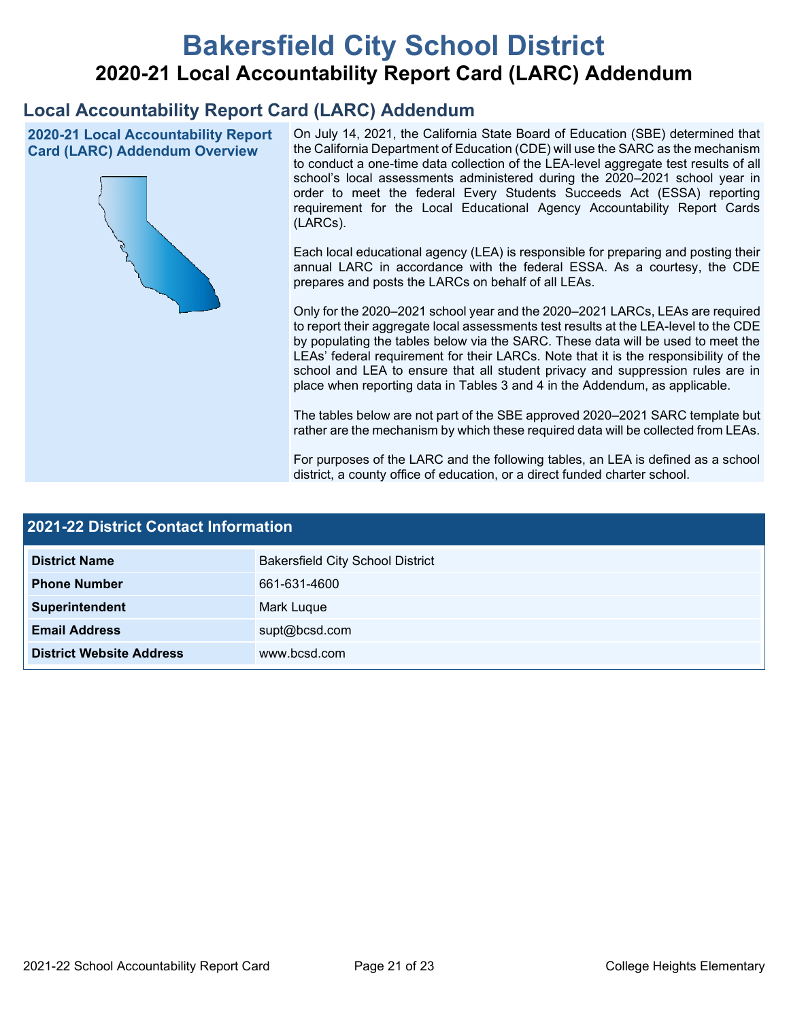# **Bakersfield City School District 2020-21 Local Accountability Report Card (LARC) Addendum**

## **Local Accountability Report Card (LARC) Addendum**

**2020-21 Local Accountability Report Card (LARC) Addendum Overview**



On July 14, 2021, the California State Board of Education (SBE) determined that the California Department of Education (CDE) will use the SARC as the mechanism to conduct a one-time data collection of the LEA-level aggregate test results of all school's local assessments administered during the 2020–2021 school year in order to meet the federal Every Students Succeeds Act (ESSA) reporting requirement for the Local Educational Agency Accountability Report Cards (LARCs).

Each local educational agency (LEA) is responsible for preparing and posting their annual LARC in accordance with the federal ESSA. As a courtesy, the CDE prepares and posts the LARCs on behalf of all LEAs.

Only for the 2020–2021 school year and the 2020–2021 LARCs, LEAs are required to report their aggregate local assessments test results at the LEA-level to the CDE by populating the tables below via the SARC. These data will be used to meet the LEAs' federal requirement for their LARCs. Note that it is the responsibility of the school and LEA to ensure that all student privacy and suppression rules are in place when reporting data in Tables 3 and 4 in the Addendum, as applicable.

The tables below are not part of the SBE approved 2020–2021 SARC template but rather are the mechanism by which these required data will be collected from LEAs.

For purposes of the LARC and the following tables, an LEA is defined as a school district, a county office of education, or a direct funded charter school.

| <b>2021-22 District Contact Information</b> |                                         |  |  |  |
|---------------------------------------------|-----------------------------------------|--|--|--|
| <b>District Name</b>                        | <b>Bakersfield City School District</b> |  |  |  |
| <b>Phone Number</b>                         | 661-631-4600                            |  |  |  |
| Superintendent                              | Mark Luque                              |  |  |  |
| <b>Email Address</b>                        | supt@bcsd.com                           |  |  |  |
| <b>District Website Address</b>             | www.bcsd.com                            |  |  |  |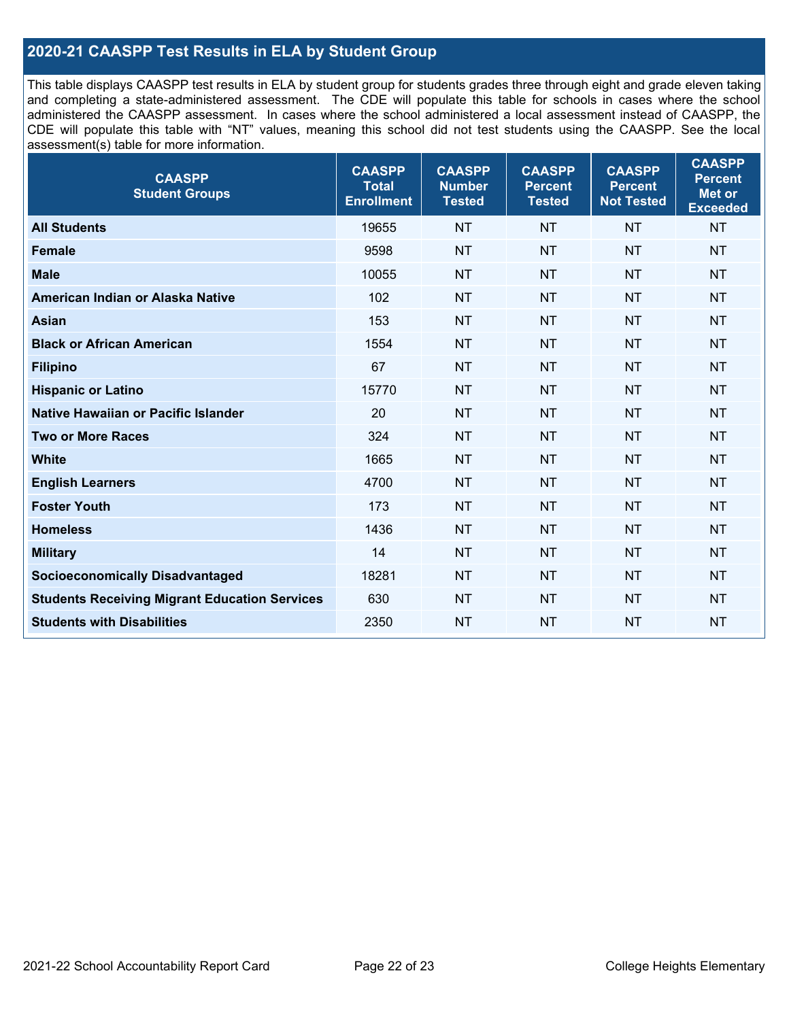## **2020-21 CAASPP Test Results in ELA by Student Group**

This table displays CAASPP test results in ELA by student group for students grades three through eight and grade eleven taking and completing a state-administered assessment. The CDE will populate this table for schools in cases where the school administered the CAASPP assessment. In cases where the school administered a local assessment instead of CAASPP, the CDE will populate this table with "NT" values, meaning this school did not test students using the CAASPP. See the local assessment(s) table for more information.

| <b>CAASPP</b><br><b>Student Groups</b>               | <b>CAASPP</b><br><b>Total</b><br><b>Enrollment</b> | <b>CAASPP</b><br><b>Number</b><br><b>Tested</b> | <b>CAASPP</b><br><b>Percent</b><br><b>Tested</b> | <b>CAASPP</b><br><b>Percent</b><br><b>Not Tested</b> | <b>CAASPP</b><br><b>Percent</b><br>Met or<br><b>Exceeded</b> |
|------------------------------------------------------|----------------------------------------------------|-------------------------------------------------|--------------------------------------------------|------------------------------------------------------|--------------------------------------------------------------|
| <b>All Students</b>                                  | 19655                                              | <b>NT</b>                                       | <b>NT</b>                                        | <b>NT</b>                                            | <b>NT</b>                                                    |
| <b>Female</b>                                        | 9598                                               | <b>NT</b>                                       | <b>NT</b>                                        | <b>NT</b>                                            | <b>NT</b>                                                    |
| <b>Male</b>                                          | 10055                                              | <b>NT</b>                                       | <b>NT</b>                                        | <b>NT</b>                                            | <b>NT</b>                                                    |
| American Indian or Alaska Native                     | 102                                                | <b>NT</b>                                       | <b>NT</b>                                        | <b>NT</b>                                            | <b>NT</b>                                                    |
| <b>Asian</b>                                         | 153                                                | <b>NT</b>                                       | <b>NT</b>                                        | <b>NT</b>                                            | <b>NT</b>                                                    |
| <b>Black or African American</b>                     | 1554                                               | <b>NT</b>                                       | <b>NT</b>                                        | <b>NT</b>                                            | NT                                                           |
| <b>Filipino</b>                                      | 67                                                 | <b>NT</b>                                       | <b>NT</b>                                        | <b>NT</b>                                            | <b>NT</b>                                                    |
| <b>Hispanic or Latino</b>                            | 15770                                              | <b>NT</b>                                       | <b>NT</b>                                        | <b>NT</b>                                            | <b>NT</b>                                                    |
| Native Hawaiian or Pacific Islander                  | 20                                                 | <b>NT</b>                                       | <b>NT</b>                                        | <b>NT</b>                                            | <b>NT</b>                                                    |
| <b>Two or More Races</b>                             | 324                                                | <b>NT</b>                                       | <b>NT</b>                                        | <b>NT</b>                                            | <b>NT</b>                                                    |
| <b>White</b>                                         | 1665                                               | <b>NT</b>                                       | <b>NT</b>                                        | <b>NT</b>                                            | <b>NT</b>                                                    |
| <b>English Learners</b>                              | 4700                                               | <b>NT</b>                                       | <b>NT</b>                                        | <b>NT</b>                                            | <b>NT</b>                                                    |
| <b>Foster Youth</b>                                  | 173                                                | <b>NT</b>                                       | <b>NT</b>                                        | <b>NT</b>                                            | <b>NT</b>                                                    |
| <b>Homeless</b>                                      | 1436                                               | <b>NT</b>                                       | <b>NT</b>                                        | <b>NT</b>                                            | <b>NT</b>                                                    |
| <b>Military</b>                                      | 14                                                 | <b>NT</b>                                       | <b>NT</b>                                        | <b>NT</b>                                            | <b>NT</b>                                                    |
| <b>Socioeconomically Disadvantaged</b>               | 18281                                              | <b>NT</b>                                       | <b>NT</b>                                        | <b>NT</b>                                            | <b>NT</b>                                                    |
| <b>Students Receiving Migrant Education Services</b> | 630                                                | <b>NT</b>                                       | <b>NT</b>                                        | <b>NT</b>                                            | NT                                                           |
| <b>Students with Disabilities</b>                    | 2350                                               | <b>NT</b>                                       | <b>NT</b>                                        | <b>NT</b>                                            | NT                                                           |